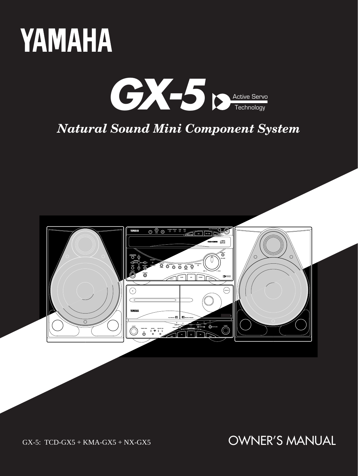



# *Natural Sound Mini Component System*



GX-5: TCD-GX5 + KMA-GX5 + NX-GX5

OWNER'S MANUAL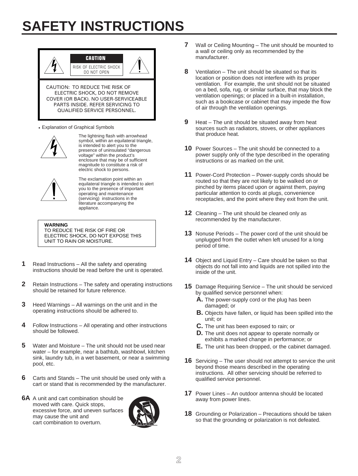# **SAFETY INSTRUCTIONS**



• Explanation of Graphical Symbols



The lightning flash with arrowhead symbol, within an equilateral triangle, is intended to alert you to the presence of uninsulated "dangerous voltage" within the product's enclosure that may be of sufficient magnitude to constitute a risk of electric shock to persons.



The exclamation point within an equilateral triangle is intended to alert you to the presence of important operating and maintenance (servicing) instructions in the literature accompanying the appliance.

**WARNING** TO REDUCE THE RISK OF FIRE OR ELECTRIC SHOCK, DO NOT EXPOSE THIS UNIT TO RAIN OR MOISTURE.

- **1** Read Instructions All the safety and operating instructions should be read before the unit is operated.
- **2** Retain Instructions The safety and operating instructions should be retained for future reference.
- **3** Heed Warnings All warnings on the unit and in the operating instructions should be adhered to.
- **4** Follow Instructions All operating and other instructions should be followed.
- **5** Water and Moisture The unit should not be used near water – for example, near a bathtub, washbowl, kitchen sink, laundry tub, in a wet basement, or near a swimming pool, etc.
- **6** Carts and Stands The unit should be used only with a cart or stand that is recommended by the manufacturer.
- **6A** A unit and cart combination should be moved with care. Quick stops, excessive force, and uneven surfaces may cause the unit and cart combination to overturn.



- **7** Wall or Ceiling Mounting The unit should be mounted to a wall or ceiling only as recommended by the manufacturer.
- **8** Ventilation The unit should be situated so that its location or position does not interfere with its proper ventilation. For example, the unit should not be situated on a bed, sofa, rug, or similar surface, that may block the ventilation openings; or placed in a built-in installation, such as a bookcase or cabinet that may impede the flow of air through the ventilation openings.
- **9** Heat The unit should be situated away from heat sources such as radiators, stoves, or other appliances that produce heat.
- **10** Power Sources The unit should be connected to a power supply only of the type described in the operating instructions or as marked on the unit.
- **11** Power-Cord Protection Power-supply cords should be routed so that they are not likely to be walked on or pinched by items placed upon or against them, paying particular attention to cords at plugs, convenience receptacles, and the point where they exit from the unit.
- **12** Cleaning The unit should be cleaned only as recommended by the manufacturer.
- **13** Nonuse Periods The power cord of the unit should be unplugged from the outlet when left unused for a long period of time.
- **14** Object and Liquid Entry Care should be taken so that objects do not fall into and liquids are not spilled into the inside of the unit.
- **15** Damage Requiring Service The unit should be serviced by qualified service personnel when:
	- **A.** The power-supply cord or the plug has been damaged; or
	- **B.** Objects have fallen, or liquid has been spilled into the unit; or
	- **C.** The unit has been exposed to rain; or
	- **D.** The unit does not appear to operate normally or exhibits a marked change in performance; or
	- **E.** The unit has been dropped, or the cabinet damaged.
- **16** Servicing The user should not attempt to service the unit beyond those means described in the operating instructions. All other servicing should be referred to qualified service personnel.
- **17** Power Lines An outdoor antenna should be located away from power lines.
- **18** Grounding or Polarization Precautions should be taken so that the grounding or polarization is not defeated.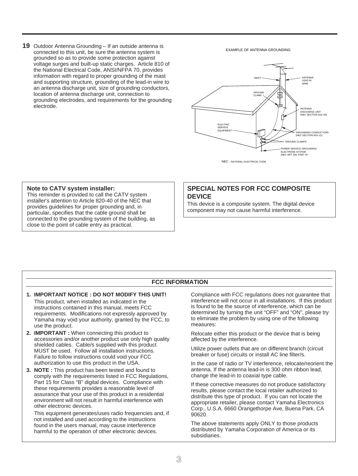**19** Outdoor Antenna Grounding – If an outside antenna is connected to this unit, be sure the antenna system is grounded so as to provide some protection against voltage surges and built-up static charges. Article 810 of the National Electrical Code, ANSI/NFPA 70, provides information with regard to proper grounding of the mast and supporting structure, grounding of the lead-in wire to an antenna discharge unit, size of grounding conductors, location of antenna discharge unit, connection to grounding electrodes, and requirements for the grounding electrode.

EXAMPLE OF ANTENNA GROUNDING



NEC – NATIONAL ELECTRICAL CODE

#### **Note to CATV system installer:**

This reminder is provided to call the CATV system installer's attention to Article 820-40 of the NEC that provides guidelines for proper grounding and, in particular, specifies that the cable ground shall be connected to the grounding system of the building, as close to the point of cable entry as practical.

### **SPECIAL NOTES FOR FCC COMPOSITE DEVICE**

This device is a composite system. The digital device component may not cause harmful interference.

### **FCC INFORMATION**

#### **1. IMPORTANT NOTICE : DO NOT MODIFY THIS UNIT!** This product, when installed as indicated in the instructions contained in this manual, meets FCC requirements. Modifications not expressly approved by Yamaha may void your authority, granted by the FCC, to use the product.

- **2. IMPORTANT :** When connecting this product to accessories and/or another product use only high quality shielded cables. Cable/s supplied with this product MUST be used. Follow all installation instructions. Failure to follow instructions could void your FCC authorization to use this product in the USA.
- **3. NOTE :** This product has been tested and found to comply with the requirements listed in FCC Regulations, Part 15 for Class "B" digital devices. Compliance with these requirements provides a reasonable level of assurance that your use of this product in a residential environment will not result in harmful interference with other electronic devices.

This equipment generates/uses radio frequencies and, if not installed and used according to the instructions found in the users manual, may cause interference harmful to the operation of other electronic devices.

Compliance with FCC regulations does not guarantee that interference will not occur in all installations. If this product is found to be the source of interference, which can be determined by turning the unit "OFF" and "ON", please try to eliminate the problem by using one of the following measures:

Relocate either this product or the device that is being affected by the interference.

Utilize power outlets that are on different branch (circuit breaker or fuse) circuits or install AC line filter/s.

In the case of radio or TV interference, relocate/reorient the antenna. If the antenna lead-in is 300 ohm ribbon lead, change the lead-in to coaxial type cable.

If these corrective measures do not produce satisfactory results, please contact the local retailer authorized to distribute this type of product. If you can not locate the appropriate retailer, please contact Yamaha Electronics Corp., U.S.A. 6660 Orangethorpe Ave, Buena Park, CA 90620.

The above statements apply ONLY to those products distributed by Yamaha Corporation of America or its subsidiaries.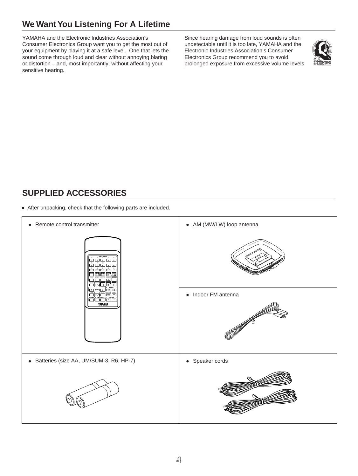# **We Want You Listening For A Lifetime**

YAMAHA and the Electronic Industries Association's Consumer Electronics Group want you to get the most out of your equipment by playing it at a safe level. One that lets the sound come through loud and clear without annoying blaring or distortion – and, most importantly, without affecting your sensitive hearing.

Since hearing damage from loud sounds is often undetectable until it is too late, YAMAHA and the Electronic Industries Association's Consumer Electronics Group recommend you to avoid prolonged exposure from excessive volume levels.



# **SUPPLIED ACCESSORIES**

● After unpacking, check that the following parts are included.

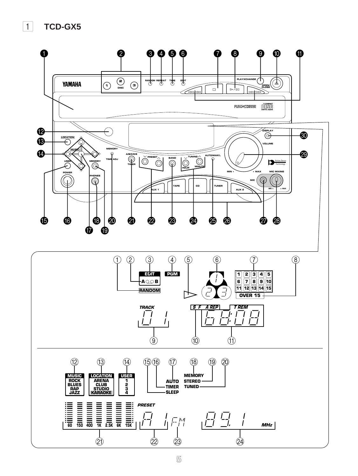1 **TCD-GX5**

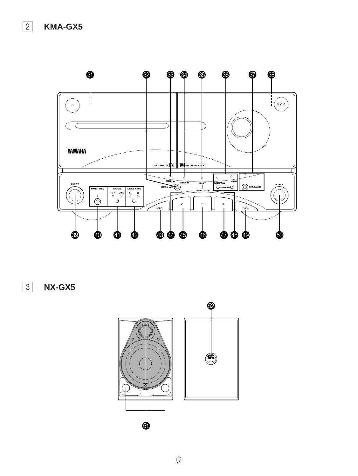

3 **NX-GX5**

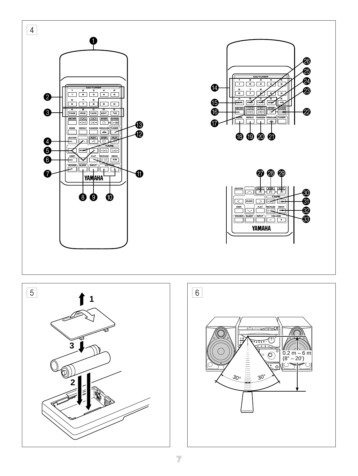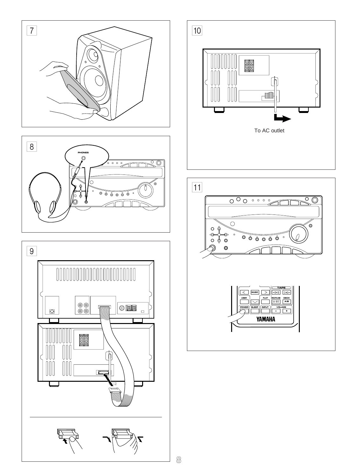



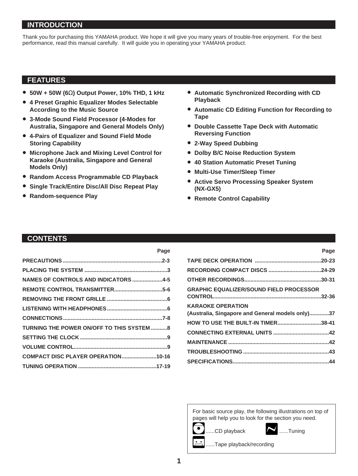# **INTRODUCTION**

Thank you for purchasing this YAMAHA product. We hope it will give you many years of trouble-free enjoyment. For the best performance, read this manual carefully. It will guide you in operating your YAMAHA product.

**Page**

# **FEATURES**

- **50W + 50W (6**Ω**) Output Power, 10% THD, 1 kHz**
- **4 Preset Graphic Equalizer Modes Selectable According to the Music Source**
- **3-Mode Sound Field Processor (4-Modes for Australia, Singapore and General Models Only)**
- **4-Pairs of Equalizer and Sound Field Mode Storing Capability**
- **Microphone Jack and Mixing Level Control for Karaoke (Australia, Singapore and General Models Only)**
- **Random Access Programmable CD Playback**
- **Single Track/Entire Disc/All Disc Repeat Play**
- **Random-sequence Play**
- **Automatic Synchronized Recording with CD Playback**
- **Automatic CD Editing Function for Recording to Tape**
- **Double Cassette Tape Deck with Automatic Reversing Function**
- **2-Way Speed Dubbing**
- **Dolby B/C Noise Reduction System**
- **40 Station Automatic Preset Tuning**
- **Multi-Use Timer/Sleep Timer**
- **Active Servo Processing Speaker System (NX-GX5)**
- **Remote Control Capability**

# **CONTENTS**

| NAMES OF CONTROLS AND INDICATORS 4-5      |  |
|-------------------------------------------|--|
|                                           |  |
|                                           |  |
|                                           |  |
|                                           |  |
| TURNING THE POWER ON/OFF TO THIS SYSTEM 8 |  |
|                                           |  |
|                                           |  |
| COMPACT DISC PLAYER OPERATION10-16        |  |
|                                           |  |

| гаче                                             |  |
|--------------------------------------------------|--|
|                                                  |  |
|                                                  |  |
|                                                  |  |
| <b>GRAPHIC EQUALIZER/SOUND FIELD PROCESSOR</b>   |  |
| <b>KARAOKE OPERATION</b>                         |  |
| (Australia, Singapore and General models only)37 |  |
| HOW TO USE THE BUILT-IN TIMER38-41               |  |
|                                                  |  |
|                                                  |  |
|                                                  |  |
|                                                  |  |

**Page**

For basic source play, the following illustrations on top of pages will help you to look for the section you need.





...Tape playback/recording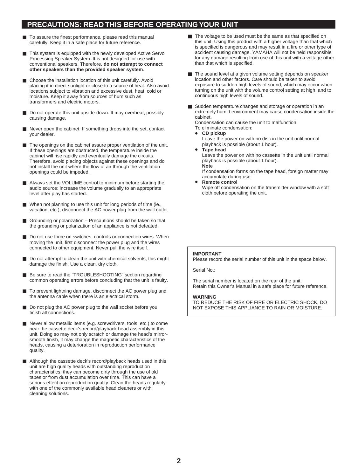# **PRECAUTIONS: READ THIS BEFORE OPERATING YOUR UNIT**

- To assure the finest performance, please read this manual carefully. Keep it in a safe place for future reference.
- This system is equipped with the newly developed Active Servo Processing Speaker System. It is not designed for use with conventional speakers. Therefore, **do not attempt to connect other speakers than the provided speaker system**.
- Choose the installation location of this unit carefully. Avoid placing it in direct sunlight or close to a source of heat. Also avoid locations subject to vibration and excessive dust, heat, cold or moisture. Keep it away from sources of hum such as transformers and electric motors.
- Do not operate this unit upside-down. It may overheat, possibly causing damage.
- Never open the cabinet. If something drops into the set, contact your dealer.
- The openings on the cabinet assure proper ventilation of the unit. If these openings are obstructed, the temperature inside the cabinet will rise rapidly and eventually damage the circuits. Therefore, avoid placing objects against these openings and do not install the unit where the flow of air through the ventilation openings could be impeded.
- Always set the VOLUME control to minimum before starting the audio source: increase the volume gradually to an appropriate level after play has started.
- When not planning to use this unit for long periods of time (ie., vacation, etc.), disconnect the AC power plug from the wall outlet.
- Grounding or polarization Precautions should be taken so that the grounding or polarization of an appliance is not defeated.
- Do not use force on switches, controls or connection wires. When moving the unit, first disconnect the power plug and the wires connected to other equipment. Never pull the wire itself.
- Do not attempt to clean the unit with chemical solvents; this might damage the finish. Use a clean, dry cloth.
- Be sure to read the "TROUBLESHOOTING" section regarding common operating errors before concluding that the unit is faulty.
- To prevent lightning damage, disconnect the AC power plug and the antenna cable when there is an electrical storm.
- Do not plug the AC power plug to the wall socket before you finish all connections.
- Never allow metallic items (e.g. screwdrivers, tools, etc.) to come near the cassette deck's record/playback head assembly in this unit. Doing so may not only scratch or damage the head's mirrorsmooth finish, it may change the magnetic characteristics of the heads, causing a deterioration in reproduction performance quality.
- Although the cassette deck's record/playback heads used in this unit are high quality heads with outstanding reproduction characteristics, they can become dirty through the use of old tapes or from dust accumulation over time. This can have a serious effect on reproduction quality. Clean the heads regularly with one of the commonly available head cleaners or with cleaning solutions.
- The voltage to be used must be the same as that specified on this unit. Using this product with a higher voltage than that which is specified is dangerous and may result in a fire or other type of accident causing damage. YAMAHA will not be held responsible for any damage resulting from use of this unit with a voltage other than that which is specified.
- The sound level at a given volume setting depends on speaker location and other factors. Care should be taken to avoid exposure to sudden high levels of sound, which may occur when turning on the unit with the volume control setting at high, and to continuous high levels of sound.
- Sudden temperature changes and storage or operation in an extremely humid environment may cause condensation inside the cabinet.

Condensation can cause the unit to malfunction.

To eliminate condensation: • **CD pickup**

Leave the power on with no disc in the unit until normal playback is possible (about 1 hour).

• **Tape head** Leave the power on with no cassette in the unit until normal playback is possible (about 1 hour). **Note**

If condensation forms on the tape head, foreign matter may accumulate during use.

• **Remote control**

Wipe off condensation on the transmitter window with a soft cloth before operating the unit.

### **IMPORTANT**

Please record the serial number of this unit in the space below.

Serial No.:

The serial number is located on the rear of the unit. Retain this Owner's Manual in a safe place for future reference.

#### **WARNING**

TO REDUCE THE RISK OF FIRE OR ELECTRIC SHOCK, DO NOT EXPOSE THIS APPLIANCE TO RAIN OR MOISTURE.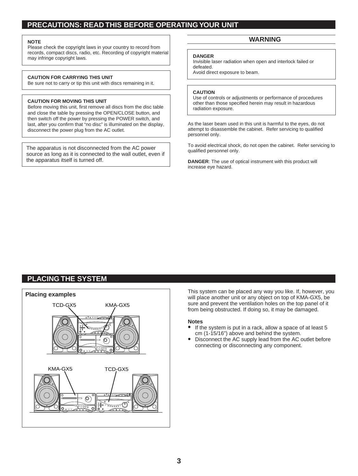# **PRECAUTIONS: READ THIS BEFORE OPERATING YOUR UNIT**

#### **NOTE**

Please check the copyright laws in your country to record from records, compact discs, radio, etc. Recording of copyright material may infringe copyright laws.

#### **CAUTION FOR CARRYING THIS UNIT**

Be sure not to carry or tip this unit with discs remaining in it.

#### **CAUTION FOR MOVING THIS UNIT**

Before moving this unit, first remove all discs from the disc table and close the table by pressing the OPEN/CLOSE button, and then switch off the power by pressing the POWER switch, and last, after you confirm that "no disc" is illuminated on the display, disconnect the power plug from the AC outlet.

The apparatus is not disconnected from the AC power source as long as it is connected to the wall outlet, even if the apparatus itself is turned off.

### **WARNING**

#### **DANGER**

Invisible laser radiation when open and interlock failed or defeated.

Avoid direct exposure to beam.

#### **CAUTION**

Use of controls or adjustments or performance of procedures other than those specified herein may result in hazardous radiation exposure.

As the laser beam used in this unit is harmful to the eyes, do not attempt to disassemble the cabinet. Refer servicing to qualified personnel only.

To avoid electrical shock, do not open the cabinet. Refer servicing to qualified personnel only.

**DANGER**: The use of optical instrument with this product will increase eye hazard.

# **PLACING THE SYSTEM**



will place another unit or any object on top of KMA-GX5, be sure and prevent the ventilation holes on the top panel of it from being obstructed. If doing so, it may be damaged.

#### **Notes**

- If the system is put in a rack, allow a space of at least 5 cm (1-15/16") above and behind the system.
- Disconnect the AC supply lead from the AC outlet before connecting or disconnecting any component.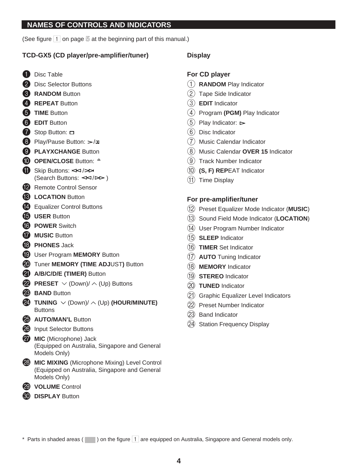# **NAMES OF CONTROLS AND INDICATORS**

(See figure 1 on page **5** at the beginning part of this manual.)

# **TCD-GX5 (CD player/pre-amplifier/tuner)**

- **1** Disc Table
- **2** Disc Selector Buttons
- **8** RANDOM Button
- 4 **REPEAT** Button
- **6** TIME Button
- 6 **EDIT** Button
- $\bullet$  Stop Button:  $\Box$
- 8 Play/Pause Button:  $\gg$ /m
- **9 PLAYXCHANGE** Button
- **<sup>O</sup>** OPEN/CLOSE Button:  $\triangle$
- $\bigoplus$  Skip Buttons:  $\leq$  / $\triangleright$   $\triangleright$ (Search Buttons:  $\leq$   $\leq$  / $\geq$  )
- **P** Remote Control Sensor
- **C** LOCATION Button
- <sup>4</sup> Equalizer Control Buttons
- **B** USER Button
- **G** POWER Switch
- **G** MUSIC Button
- **18** PHONES Jack
- **ID** User Program **MEMORY** Button
- **20** Tuner **MEMORY** (TIME ADJUST) Button
- **(2)** A/B/C/D/E (TIMER) Button
- **22** PRESET  $\vee$  (Down)/  $\wedge$  (Up) Buttons
- **28 BAND** Button
- **24** TUNING  $\vee$  (Down)/  $\wedge$  (Up) **(HOUR/MINUTE) Buttons**
- **25 AUTO/MAN'L Button**
- 26 Input Selector Buttons
- **<sup>27</sup>** MIC (Microphone) Jack (Equipped on Australia, Singapore and General Models Only)
- **23 MIC MIXING** (Microphone Mixing) Level Control (Equipped on Australia, Singapore and General Models Only)
- 29 **VOLUME** Control
- **60 DISPLAY Button**

# **Display**

# **For CD player**

- 1 **RANDOM** Play Indicator
- 2 Tape Side Indicator
- 3 **EDIT** Indicator
- 4 Program **(PGM)** Play Indicator
- $(5)$  Play Indicator:  $\triangleright$
- 6 Disc Indicator
- 7 Music Calendar Indicator
- 8 Music Calendar **OVER 15** Indicator
- 9 Track Number Indicator
- 0 **(S, F) REP**EAT Indicator
- $(11)$  Time Display

# **For pre-amplifier/tuner**

- B Preset Equalizer Mode Indicator (**MUSIC**)
- C Sound Field Mode Indicator (**LOCATION**)
- (14) User Program Number Indicator
- E **SLEEP** Indicator
- (16) **TIMER** Set Indicator
- G **AUTO** Tuning Indicator
- (18) **MEMORY** Indicator
- I **STEREO** Indicator
- 20 **TUNED** Indicator
- (21) Graphic Equalizer Level Indicators
- 22 Preset Number Indicator
- (23) Band Indicator
- (24) Station Frequency Display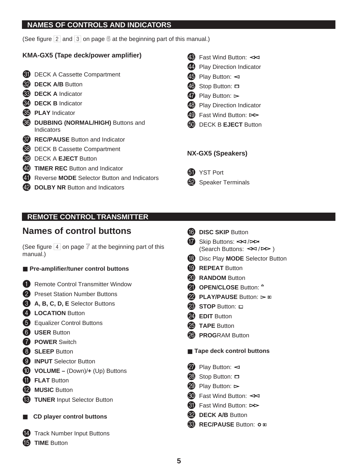# **NAMES OF CONTROLS AND INDICATORS**

(See figure 2 and 3 on page **6** at the beginning part of this manual.)

# **KMA-GX5 (Tape deck/power amplifier)**

- **61** DECK A Cassette Compartment
- **82 DECK A/B** Button
- **83** DECK A Indicator
- **R<sub>4</sub>** DECK B Indicator
- **85** PLAY Indicator
- **& DUBBING (NORMAL/HIGH)** Buttons and Indicators
- *RD* REC/PAUSE Button and Indicator
- **63** DECK B Cassette Compartment
- **69** DECK A **EJECT** Button
- **40 TIMER REC** Button and Indicator
- **41** Reverse **MODE** Selector Button and Indicators
- **49 DOLBY NR Button and Indicators**
- $48$  Fast Wind Button:  $\leq$
- 44 Play Direction Indicator
- $45$  Play Button:  $\lhd$
- $\overline{40}$  Stop Button:  $\Box$
- $\overline{q}$  Play Button:  $\triangleright$
- 43 Play Direction Indicator
- $49$  Fast Wind Button:  $>$
- **60** DECK B **EJECT** Button

# **NX-GX5 (Speakers)**



62 Speaker Terminals

# **REMOTE CONTROL TRANSMITTER**

# **Names of control buttons**

(See figure  $\boxed{4}$  on page  $\boxed{7}$  at the beginning part of this manual.)

# ■ **Pre-amplifier/tuner control buttons**

- **1** Remote Control Transmitter Window
- **2** Preset Station Number Buttons
- 3 **A, B, C, D, E** Selector Buttons
- **4** LOCATION Button
- 5 Equalizer Control Buttons
- 6 **USER** Button
- *R* POWER Switch
- 8 **SLEEP** Button
- **9 INPUT** Selector Button
- 0 **VOLUME –** (Down)/**+** (Up) Buttons
- **fil FLAT** Button
- **12** MUSIC Button
- **C** TUNER Input Selector Button
- **CD player control buttons**
- **14** Track Number Input Buttons
- **iB** TIME Button
- **fo** DISC SKIP Button Skip Buttons:  $\leq$  / $\geq$ 
	- (Search Buttons:  $\leq$  /  $\triangleright$  )
- **B** Disc Play **MODE** Selector Button
- **ID REPEAT Button**
- **20** RANDOM Button
- **21** OPEN/CLOSE Button: <sup> $\triangle$ </sup>
- **22** PLAY/PAUSE Button:  $\triangleright$  m
- **28** STOP Button:  $\Box$
- 24 **EDIT** Button
- **25** TAPE Button
- **28 PROGRAM Button**

# ■ **Tape deck control buttons**

- $\overline{27}$  Play Button:  $\triangleleft$
- $\circled{2}$  Stop Button:  $\Box$
- $\circledR$  Play Button:  $\triangleright$
- $\circled{60}$  Fast Wind Button:  $\triangleleft$
- $\bigcirc$  Fast Wind Button:  $>$
- **82 DECK A/B** Button
- **63** REC/PAUSE Button: 0 m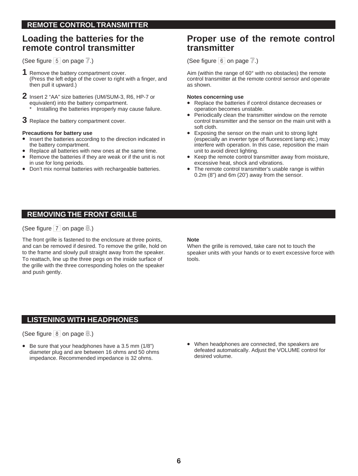# **Loading the batteries for the remote control transmitter**

(See figure  $\overline{5}$  on page  $\overline{7}$ .)

- **1** Remove the battery compartment cover. (Press the left edge of the cover to right with a finger, and then pull it upward.)
- **2** Insert 2 "AA" size batteries (UM/SUM-3, R6, HP-7 or equivalent) into the battery compartment. Installing the batteries improperly may cause failure.
- **3** Replace the battery compartment cover.

### **Precautions for battery use**

- Insert the batteries according to the direction indicated in the battery compartment.
- Replace all batteries with new ones at the same time.
- Remove the batteries if they are weak or if the unit is not in use for long periods.
- Don't mix normal batteries with rechargeable batteries.

# **Proper use of the remote control transmitter**

(See figure  $\boxed{6}$  on page  $\boxed{7}$ .)

Aim (within the range of 60° with no obstacles) the remote control transmitter at the remote control sensor and operate as shown.

### **Notes concerning use**

- Replace the batteries if control distance decreases or operation becomes unstable.
- Periodically clean the transmitter window on the remote control transmitter and the sensor on the main unit with a soft cloth.
- Exposing the sensor on the main unit to strong light (especially an inverter type of fluorescent lamp etc.) may interfere with operation. In this case, reposition the main unit to avoid direct lighting.
- Keep the remote control transmitter away from moisture, excessive heat, shock and vibrations.
- The remote control transmitter's usable range is within 0.2m (8") and 6m (20') away from the sensor.

# **REMOVING THE FRONT GRILLE**

(See figure 7 on page **8**.)

The front grille is fastened to the enclosure at three points, and can be removed if desired. To remove the grille, hold on to the frame and slowly pull straight away from the speaker. To reattach, line up the three pegs on the inside surface of the grille with the three corresponding holes on the speaker and push gently.

### **Note**

When the grille is removed, take care not to touch the speaker units with your hands or to exert excessive force with tools.

# **LISTENING WITH HEADPHONES**

# (See figure 8 on page **8**.)

- Be sure that your headphones have a 3.5 mm (1/8") diameter plug and are between 16 ohms and 50 ohms impedance. Recommended impedance is 32 ohms.
- When headphones are connected, the speakers are defeated automatically. Adjust the VOLUME control for desired volume.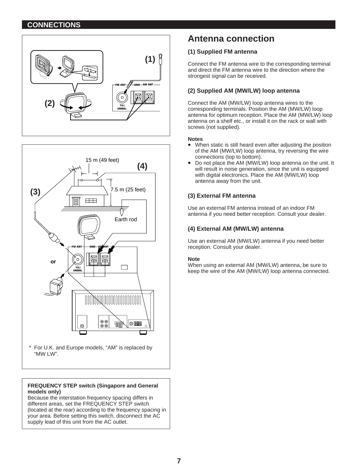# **CONNECTIONS**





For U.K. and Europe models, "AM" is replaced by "MW LW".

### **FREQUENCY STEP switch (Singapore and General models only)**

Because the interstation frequency spacing differs in different areas, set the FREQUENCY STEP switch (located at the rear) according to the frequency spacing in your area. Before setting this switch, disconnect the AC supply lead of this unit from the AC outlet.

# **Antenna connection**

## **(1) Supplied FM antenna**

Connect the FM antenna wire to the corresponding terminal and direct the FM antenna wire to the direction where the strongest signal can be received.

## **(2) Supplied AM (MW/LW) loop antenna**

Connect the AM (MW/LW) loop antenna wires to the corresponding terminals. Position the AM (MW/LW) loop antenna for optimum reception. Place the AM (MW/LW) loop antenna on a shelf etc., or install it on the rack or wall with screws (not supplied).

### **Notes**

- When static is still heard even after adjusting the position of the AM (MW/LW) loop antenna, try reversing the wire connections (top to bottom).
- Do not place the AM (MW/LW) loop antenna on the unit. It will result in noise generation, since the unit is equipped with digital electronics. Place the AM (MW/LW) loop antenna away from the unit.

### **(3) External FM antenna**

Use an external FM antenna instead of an indoor FM antenna if you need better reception. Consult your dealer.

### **(4) External AM (MW/LW) antenna**

Use an external AM (MW/LW) antenna if you need better reception. Consult your dealer.

### **Note**

When using an external AM (MW/LW) antenna, be sure to keep the wire of the AM (MW/LW) loop antenna connected.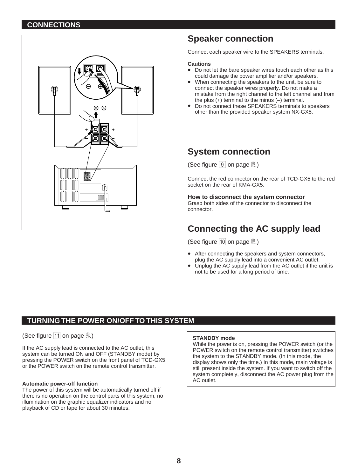# **CONNECTIONS**



# **Speaker connection**

Connect each speaker wire to the SPEAKERS terminals.

#### **Cautions**

- Do not let the bare speaker wires touch each other as this could damage the power amplifier and/or speakers.
- When connecting the speakers to the unit, be sure to connect the speaker wires properly. Do not make a mistake from the right channel to the left channel and from the plus (+) terminal to the minus (–) terminal.
- Do not connect these SPEAKERS terminals to speakers other than the provided speaker system NX-GX5.

# **System connection**

(See figure 9 on page **8**.)

Connect the red connector on the rear of TCD-GX5 to the red socket on the rear of KMA-GX5.

### **How to disconnect the system connector**

Grasp both sides of the connector to disconnect the connector.

# **Connecting the AC supply lead**

(See figure 10 on page  $\mathcal{B}$ .)

- After connecting the speakers and system connectors, plug the AC supply lead into a convenient AC outlet.
- Unplug the AC supply lead from the AC outlet if the unit is not to be used for a long period of time.

# **TURNING THE POWER ON/OFF TO THIS SYSTEM**

(See figure 11 on page  $\mathcal{B}$ .)

If the AC supply lead is connected to the AC outlet, this system can be turned ON and OFF (STANDBY mode) by pressing the POWER switch on the front panel of TCD-GX5 or the POWER switch on the remote control transmitter.

### **Automatic power-off function**

The power of this system will be automatically turned off if there is no operation on the control parts of this system, no illumination on the graphic equalizer indicators and no playback of CD or tape for about 30 minutes.

#### **STANDBY mode**

While the power is on, pressing the POWER switch (or the POWER switch on the remote control transmitter) switches the system to the STANDBY mode. (In this mode, the display shows only the time.) In this mode, main voltage is still present inside the system. If you want to switch off the system completely, disconnect the AC power plug from the AC outlet.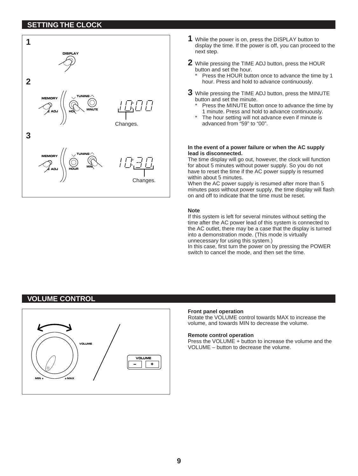# **SETTING THE CLOCK**



- **1** While the power is on, press the DISPLAY button to display the time. If the power is off, you can proceed to the next step.
- **2** While pressing the TIME ADJ button, press the HOUR button and set the hour.
	- Press the HOUR button once to advance the time by 1 hour. Press and hold to advance continuously.
- **3** While pressing the TIME ADJ button, press the MINUTE button and set the minute.
	- Press the MINUTE button once to advance the time by 1 minute. Press and hold to advance continuously.
	- The hour setting will not advance even if minute is advanced from "59" to "00".

#### **In the event of a power failure or when the AC supply lead is disconnected.**

The time display will go out, however, the clock will function for about 5 minutes without power supply. So you do not have to reset the time if the AC power supply is resumed within about 5 minutes.

When the AC power supply is resumed after more than 5 minutes pass without power supply, the time display will flash on and off to indicate that the time must be reset.

### **Note**

If this system is left for several minutes without setting the time after the AC power lead of this system is connected to the AC outlet, there may be a case that the display is turned into a demonstration mode. (This mode is virtually unnecessary for using this system.)

In this case, first turn the power on by pressing the POWER switch to cancel the mode, and then set the time.

# **VOLUME CONTROL**



### **Front panel operation**

Rotate the VOLUME control towards MAX to increase the volume, and towards MIN to decrease the volume.

#### **Remote control operation**

Press the VOLUME + button to increase the volume and the VOLUME – button to decrease the volume.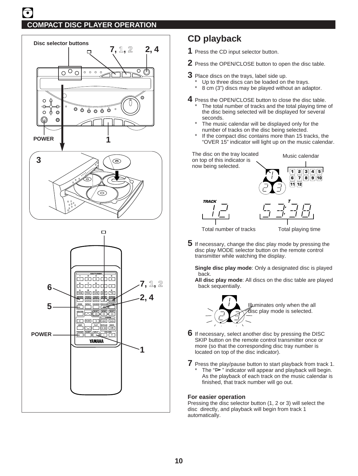

**FOWER SLEEP** NPUT<br>  $\begin{bmatrix} 1 & 0 & 0 \\ 0 & -1 & 0 \\ 0 & 0 & 0 \end{bmatrix}$ 

YAMAHA

**RECRAIGE DECK**<br>  $\begin{bmatrix} 1 & 0 \\ 0 & 0 \end{bmatrix}$ 

**TAPE MUSIC PLAY STOP LOCATION PLAY**

**POWER**

# **CD playback**

- **1** Press the CD input selector button.
- **2** Press the OPEN/CLOSE button to open the disc table.
- **3** Place discs on the trays, label side up.
	- \* Up to three discs can be loaded on the trays.
	- 8 cm (3") discs may be played without an adaptor.
- **4** Press the OPEN/CLOSE button to close the disc table. The total number of tracks and the total playing time of the disc being selected will be displayed for several seconds.
	- The music calendar will be displayed only for the number of tracks on the disc being selected.
	- If the compact disc contains more than 15 tracks, the "OVER 15" indicator will light up on the music calendar.

The disc on the tray located Music calendar on top of this indicator is now being selected. **1 2 3 4 5 6 7 8 9 10 11 12 TRACK T**

Total number of tracks Total playing time

**5** If necessary, change the disc play mode by pressing the disc play MODE selector button on the remote control transmitter while watching the display.

**Single disc play mode**: Only a designated disc is played back.

**All disc play mode**: All discs on the disc table are played back sequentially.



- **6** If necessary, select another disc by pressing the DISC SKIP button on the remote control transmitter once or more (so that the corresponding disc tray number is located on top of the disc indicator).
- **7** Press the play/pause button to start playback from track 1. The " $\triangleright$ " indicator will appear and playback will begin. As the playback of each track on the music calendar is finished, that track number will go out.

### **For easier operation**

Pressing the disc selector button (1, 2 or 3) will select the disc directly, and playback will begin from track 1 automatically.

**1**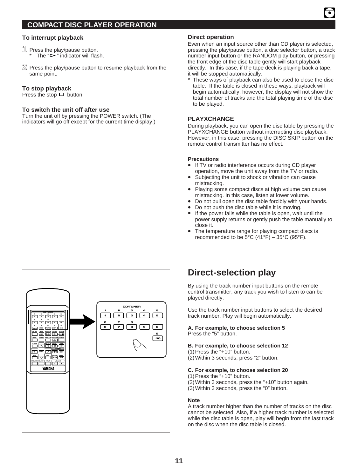### **To interrupt playback**

- **1** Press the play/pause button. The " $\triangleright$ " indicator will flash.
- **2** Press the play/pause button to resume playback from the same point.

### **To stop playback**

Press the stop  $\Box$  button.

### **To switch the unit off after use**

Turn the unit off by pressing the POWER switch. (The indicators will go off except for the current time display.)

### **Direct operation**

Even when an input source other than CD player is selected, pressing the play/pause button, a disc selector button, a track number input button or the RANDOM play button, or pressing the front edge of the disc table gently will start playback directly. In this case, if the tape deck is playing back a tape, it will be stopped automatically.

These ways of playback can also be used to close the disc table. If the table is closed in these ways, playback will begin automatically, however, the display will not show the total number of tracks and the total playing time of the disc to be played.

### **PLAYXCHANGE**

During playback, you can open the disc table by pressing the PLAYXCHANGE button without interrupting disc playback. However, in this case, pressing the DISC SKIP button on the remote control transmitter has no effect.

#### **Precautions**

- If TV or radio interference occurs during CD player operation, move the unit away from the TV or radio.
- Subjecting the unit to shock or vibration can cause mistracking.
- Playing some compact discs at high volume can cause mistracking. In this case, listen at lower volume.
- Do not pull open the disc table forcibly with your hands.
- Do not push the disc table while it is moving.
- If the power fails while the table is open, wait until the power supply returns or gently push the table manually to close it.
- The temperature range for playing compact discs is recommended to be  $5^{\circ}$ C (41 $^{\circ}$ F) – 35 $^{\circ}$ C (95 $^{\circ}$ F).



# **Direct-selection play**

By using the track number input buttons on the remote control transmitter, any track you wish to listen to can be played directly.

Use the track number input buttons to select the desired track number. Play will begin automatically.

#### **A. For example, to choose selection 5** Press the "5" button.

### **B. For example, to choose selection 12**

(1)Press the "+10" button.

(2)Within 3 seconds, press "2" button.

#### **C. For example, to choose selection 20**

(1)Press the "+10" button.

(2)Within 3 seconds, press the "+10" button again.

(3)Within 3 seconds, press the "0" button.

### **Note**

A track number higher than the number of tracks on the disc cannot be selected. Also, if a higher track number is selected while the disc table is open, play will begin from the last track on the disc when the disc table is closed.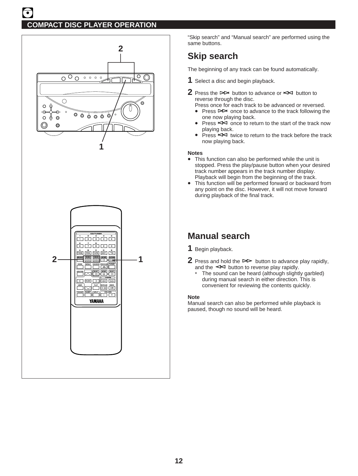

"Skip search" and "Manual search" are performed using the same buttons.

# **Skip search**

The beginning of any track can be found automatically.

- **1** Select a disc and begin playback.
- **2** Press the  $\triangleright$  button to advance or  $\leq$  button to reverse through the disc.
	- Press once for each track to be advanced or reversed.<br>● Press PD once to advance to the track following the
	- Press  $\triangleright$  once to advance to the track following the one now playing back.
	- Press  $\leq$  once to return to the start of the track now playing back.
	- Press  $\leq$  twice to return to the track before the track now playing back.

### **Notes**

- This function can also be performed while the unit is stopped. Press the play/pause button when your desired track number appears in the track number display. Playback will begin from the beginning of the track.
- This function will be performed forward or backward from any point on the disc. However, it will not move forward during playback of the final track.

# **Manual search**

- **1** Begin playback.
- **2** Press and hold the  $\triangleright$  button to advance play rapidly, and the  $\leq$  button to reverse play rapidly.
	- The sound can be heard (although slightly garbled) during manual search in either direction. This is convenient for reviewing the contents quickly.

### **Note**

Manual search can also be performed while playback is paused, though no sound will be heard.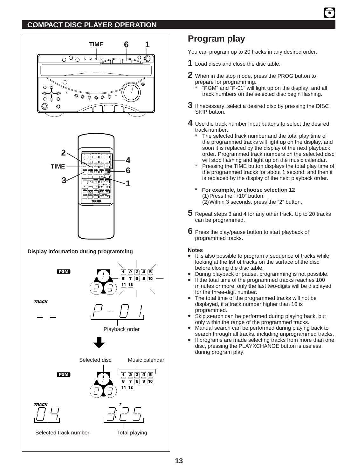

# **Program play**

You can program up to 20 tracks in any desired order.

- **1** Load discs and close the disc table.
- **2** When in the stop mode, press the PROG button to prepare for programming.
	- \* "PGM" and "P-01" will light up on the display, and all track numbers on the selected disc begin flashing.
- **3** If necessary, select a desired disc by pressing the DISC SKIP button.
- **4** Use the track number input buttons to select the desired track number.
	- The selected track number and the total play time of the programmed tracks will light up on the display, and soon it is replaced by the display of the next playback order. Programmed track numbers on the selected disc will stop flashing and light up on the music calendar.
	- Pressing the TIME button displays the total play time of the programmed tracks for about 1 second, and then it is replaced by the display of the next playback order.
	- **\* For example, to choose selection 12** (1)Press the "+10" button.  $(2)$  Within 3 seconds, press the "2" button.
- **5** Repeat steps 3 and 4 for any other track. Up to 20 tracks can be programmed.
- **6** Press the play/pause button to start playback of programmed tracks.

### **Notes**

- It is also possible to program a sequence of tracks while looking at the list of tracks on the surface of the disc before closing the disc table.
- During playback or pause, programming is not possible.<br>• If the total time of the programmed tracks reaches 100
- If the total time of the programmed tracks reaches 100 minutes or more, only the last two-digits will be displayed for the three-digit number.
- The total time of the programmed tracks will not be displayed, if a track number higher than 16 is programmed.
- Skip search can be performed during playing back, but only within the range of the programmed tracks.
- Manual search can be performed during playing back to search through all tracks, including unprogrammed tracks.
- If programs are made selecting tracks from more than one disc, pressing the PLAYXCHANGE button is useless during program play.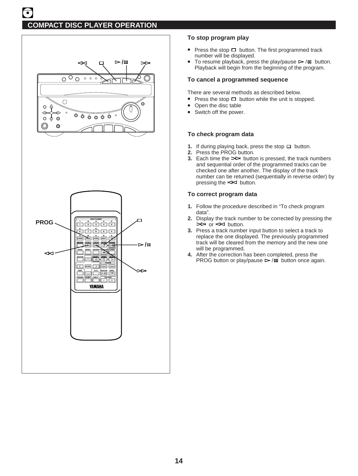

# **To stop program play**

- Press the stop  $\Box$  button. The first programmed track number will be displayed.
- To resume playback, press the play/pause  $\triangleright$ / $\mathfrak m$  button. Playback will begin from the beginning of the program.

### **To cancel a programmed sequence**

There are several methods as described below.

- Press the stop  $\Box$  button while the unit is stopped.
- Open the disc table
- Switch off the power.

### **To check program data**

- **1.** If during playing back, press the stop  $\Box$  button.
- **2.** Press the PROG button.
- **3.** Each time the  $\triangleright$  button is pressed, the track numbers and sequential order of the programmed tracks can be checked one after another. The display of the track number can be returned (sequentially in reverse order) by pressing the  $\leq$  button.

### **To correct program data**

- **1.** Follow the procedure described in "To check program data".
- **2.** Display the track number to be corrected by pressing the  $\Rightarrow$  or  $\leq$  button.
- **3.** Press a track number input button to select a track to replace the one displayed. The previously programmed track will be cleared from the memory and the new one will be programmed.
- **4.** After the correction has been completed, press the PROG button or play/pause  $\triangleright$  / $\blacksquare$  button once again.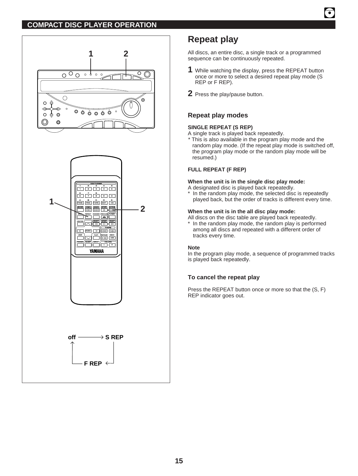

# **Repeat play**

All discs, an entire disc, a single track or a programmed sequence can be continuously repeated.

- **1** While watching the display, press the REPEAT button once or more to select a desired repeat play mode (S REP or F REP).
- **2** Press the play/pause button.

# **Repeat play modes**

### **SINGLE REPEAT (S REP)**

A single track is played back repeatedly.

\* This is also available in the program play mode and the random play mode. (If the repeat play mode is switched off, the program play mode or the random play mode will be resumed.)

### **FULL REPEAT (F REP)**

### **When the unit is in the single disc play mode:**

- A designated disc is played back repeatedly.
- In the random play mode, the selected disc is repeatedly played back, but the order of tracks is different every time.

### **When the unit is in the all disc play mode:**

All discs on the disc table are played back repeatedly.

In the random play mode, the random play is performed among all discs and repeated with a different order of tracks every time.

### **Note**

In the program play mode, a sequence of programmed tracks is played back repeatedly.

# **To cancel the repeat play**

Press the REPEAT button once or more so that the (S, F) REP indicator goes out.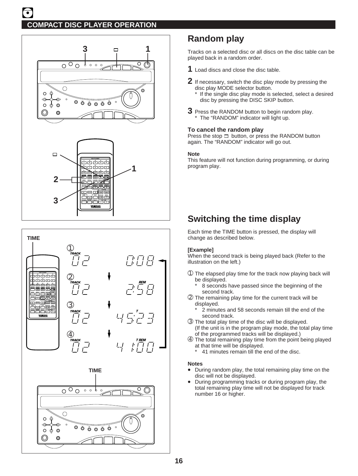



# **Random play**

Tracks on a selected disc or all discs on the disc table can be played back in a random order.

- **1** Load discs and close the disc table.
- **2** If necessary, switch the disc play mode by pressing the disc play MODE selector button.
	- \* If the single disc play mode is selected, select a desired disc by pressing the DISC SKIP button.
- **3** Press the RANDOM button to begin random play. The "RANDOM" indicator will light up.

### **To cancel the random play**

Press the stop  $\Box$  button, or press the RANDOM button again. The "RANDOM" indicator will go out.

### **Note**

This feature will not function during programming, or during program play.

# **Switching the time display**

Each time the TIME button is pressed, the display will change as described below.

### **[Example]**

When the second track is being played back (Refer to the illustration on the left.)

- ➀ The elapsed play time for the track now playing back will be displayed.
	- 8 seconds have passed since the beginning of the second track.
- ➁ The remaining play time for the current track will be displayed.
	- 2 minutes and 58 seconds remain till the end of the second track.
- ➂ The total play time of the disc will be displayed. (If the unit is in the program play mode, the total play time of the programmed tracks will be displayed.)
- ➃ The total remaining play time from the point being played at that time will be displayed.
	- 41 minutes remain till the end of the disc.

### **Notes**

- During random play, the total remaining play time on the disc will not be displayed.
- During programming tracks or during program play, the total remaining play time will not be displayed for track number 16 or higher.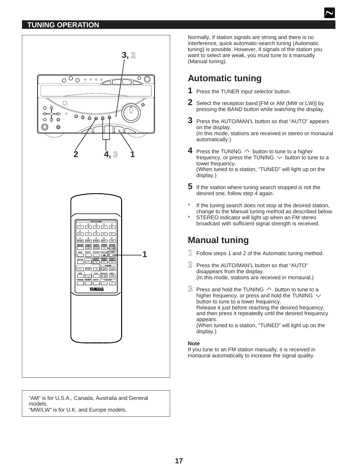# **TUNING OPERATION**



"AM" is for U.S.A., Canada, Australia and General models. "MW/LW" is for U.K. and Europe models.

Normally, if station signals are strong and there is no interference, quick automatic-search tuning (Automatic tuning) is possible. However, if signals of the station you want to select are weak, you must tune to it manually (Manual tuning).

# **Automatic tuning**

- **1** Press the TUNER input selector button.
- **2** Select the reception band [FM or AM (MW or LW)] by pressing the BAND button while watching the display.
- **3** Press the AUTO/MAN'L button so that "AUTO" appears on the display. (In this mode, stations are received in stereo or monaural automatically.)
- **4** Press the TUNING  $\land$  button to tune to a higher frequency, or press the TUNING  $\vee$  button to tune to a lower frequency. (When tuned to a station, "TUNED" will light up on the display.)
- **5** If the station where tuning search stopped is not the desired one, follow step 4 again.
- If the tuning search does not stop at the desired station, change to the Manual tuning method as described below.
- STEREO indicator will light up when an FM stereo broadcast with sufficient signal strength is received.

# **Manual tuning**

- **1** Follow steps 1 and 2 of the Automatic tuning method.
- **2** Press the AUTO/MAN'L button so that "AUTO" disappears from the display. (In this mode, stations are received in monaural.)
- $\Im$  Press and hold the TUNING  $\land$  button to tune to a higher frequency, or press and hold the TUNING  $\vee$ button to tune to a lower frequency. Release it just before reaching the desired frequency, and then press it repeatedly until the desired frequency appears. (When tuned to a station, "TUNED" will light up on the

display.)

### **Note**

If you tune to an FM station manually, it is received in monaural automatically to increase the signal quality.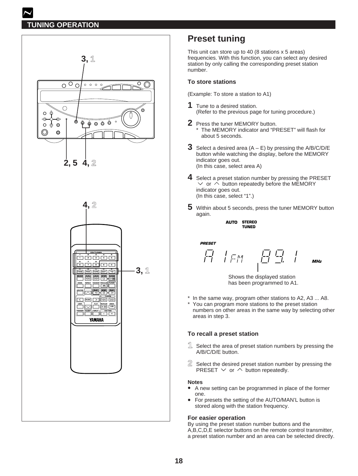# **TUNING OPERATION**





# **Preset tuning**

This unit can store up to 40 (8 stations x 5 areas) frequencies. With this function, you can select any desired station by only calling the corresponding preset station number.

## **To store stations**

(Example: To store a station to A1)

- **1** Tune to a desired station. (Refer to the previous page for tuning procedure.)
- **2** Press the tuner MEMORY button. The MEMORY indicator and "PRESET" will flash for about 5 seconds.
- **3** Select a desired area  $(A E)$  by pressing the A/B/C/D/E button while watching the display, before the MEMORY indicator goes out. (In this case, select area A)
- **4** Select a preset station number by pressing the PRESET  $\vee$  or  $\wedge$  button repeatedly before the MEMORY indicator goes out. (In this case, select "1".)
- **5** Within about 5 seconds, press the tuner MEMORY button again.

**STEREO AUTO TUNED**

**PRESET**

$$
\overline{H} = \begin{pmatrix} \overline{H} & \overline{H} & \overline{H} \\ \overline{H} & \overline{H} & \overline{H} & \overline{H} \end{pmatrix}
$$

Shows the displayed station has been programmed to A1.

- \* In the same way, program other stations to A2, A3 ... A8.
- You can program more stations to the preset station numbers on other areas in the same way by selecting other areas in step 3.

### **To recall a preset station**

- **1** Select the area of preset station numbers by pressing the A/B/C/D/E button.
- **2** Select the desired preset station number by pressing the PRESET  $\vee$  or  $\wedge$  button repeatedly.

#### **Notes**

- A new setting can be programmed in place of the former one.
- For presets the setting of the AUTO/MAN'L button is stored along with the station frequency.

### **For easier operation**

By using the preset station number buttons and the A,B,C,D,E selector buttons on the remote control transmitter, a preset station number and an area can be selected directly.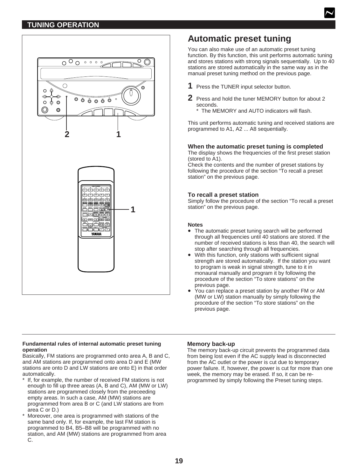# **TUNING OPERATION**



# **Automatic preset tuning**

You can also make use of an automatic preset tuning function. By this function, this unit performs automatic tuning and stores stations with strong signals sequentially. Up to 40 stations are stored automatically in the same way as in the manual preset tuning method on the previous page.

- **1** Press the TUNER input selector button.
- **2** Press and hold the tuner MEMORY button for about 2 seconds.
	- \* The MEMORY and AUTO indicators will flash.

This unit performs automatic tuning and received stations are programmed to A1, A2 ... A8 sequentially.

### **When the automatic preset tuning is completed**

The display shows the frequencies of the first preset station (stored to A1).

Check the contents and the number of preset stations by following the procedure of the section "To recall a preset station" on the previous page.

### **To recall a preset station**

Simply follow the procedure of the section "To recall a preset station" on the previous page.

### **Notes**

- The automatic preset tuning search will be performed through all frequencies until 40 stations are stored. If the number of received stations is less than 40, the search will stop after searching through all frequencies.
- With this function, only stations with sufficient signal strength are stored automatically. If the station you want to program is weak in signal strength, tune to it in monaural manually and program it by following the procedure of the section "To store stations" on the previous page.
- You can replace a preset station by another FM or AM (MW or LW) station manually by simply following the procedure of the section "To store stations" on the previous page.

#### **Fundamental rules of internal automatic preset tuning operation**

Basically, FM stations are programmed onto area A, B and C, and AM stations are programmed onto area D and E (MW stations are onto D and LW stations are onto E) in that order automatically.

- If, for example, the number of received FM stations is not enough to fill up three areas (A, B and C), AM (MW or LW) stations are programmed closely from the preceeding empty areas. In such a case, AM (MW) stations are programmed from area B or C (and LW stations are from area C or D.)
- Moreover, one area is programmed with stations of the same band only. If, for example, the last FM station is programmed to B4, B5–B8 will be programmed with no station, and AM (MW) stations are programmed from area C.

### **Memory back-up**

The memory back-up circuit prevents the programmed data from being lost even if the AC supply lead is disconnected from the AC outlet or the power is cut due to temporary power failure. If, however, the power is cut for more than one week, the memory may be erased. If so, it can be reprogrammed by simply following the Preset tuning steps.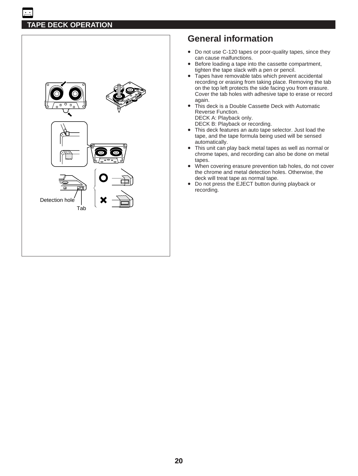

# **General information**

- Do not use C-120 tapes or poor-quality tapes, since they can cause malfunctions.
- Before loading a tape into the cassette compartment, tighten the tape slack with a pen or pencil.
- Tapes have removable tabs which prevent accidental recording or erasing from taking place. Removing the tab on the top left protects the side facing you from erasure. Cover the tab holes with adhesive tape to erase or record again.
- This deck is a Double Cassette Deck with Automatic Reverse Function. DECK A: Playback only.

DECK B: Playback or recording.

- This deck features an auto tape selector. Just load the tape, and the tape formula being used will be sensed automatically.
- This unit can play back metal tapes as well as normal or chrome tapes, and recording can also be done on metal tapes.
- When covering erasure prevention tab holes, do not cover the chrome and metal detection holes. Otherwise, the deck will treat tape as normal tape.
- Do not press the EJECT button during playback or recording.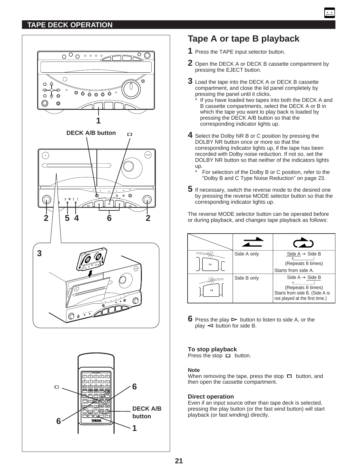# **TAPE DECK OPERATION**





# **Tape A or tape B playback**

- **1** Press the TAPE input selector button.
- **2** Open the DECK A or DECK B cassette compartment by pressing the EJECT button.
- **3** Load the tape into the DECK A or DECK B cassette compartment, and close the lid panel completely by pressing the panel until it clicks.
	- If you have loaded two tapes into both the DECK A and B cassette compartments, select the DECK A or B in which the tape you want to play back is loaded by pressing the DECK A/B button so that the corresponding indicator lights up.
- **4** Select the Dolby NR B or C position by pressing the DOLBY NR button once or more so that the corresponding indicator lights up, if the tape has been recorded with Dolby noise reduction. If not so, set the DOLBY NR button so that neither of the indicators lights up.
	- For selection of the Dolby B or C position, refer to the "Dolby B and C Type Noise Reduction" on page 23.
- **5** If necessary, switch the reverse mode to the desired one by pressing the reverse MODE selector button so that the corresponding indicator lights up.

The reverse MODE selector button can be operated before or during playback, and changes tape playback as follows:

| ⊳ | Side A only | Side $A \rightarrow$ Side B<br>(Repeats 8 times)<br>Starts from side A.                                              |
|---|-------------|----------------------------------------------------------------------------------------------------------------------|
| c | Side B only | Side A $\rightarrow$ Side B<br>(Repeats 8 times)<br>Starts from side B. (Side A is<br>not played at the first time.) |

**6** Press the play  $\triangleright$  button to listen to side A, or the  $play \leq button$  for side B.

### **To stop playback**

Press the stop  $\Box$  button.

#### **Note**

When removing the tape, press the stop  $\Box$  button, and then open the cassette compartment.

#### **Direct operation**

Even if an input source other than tape deck is selected, pressing the play button (or the fast wind button) will start playback (or fast winding) directly.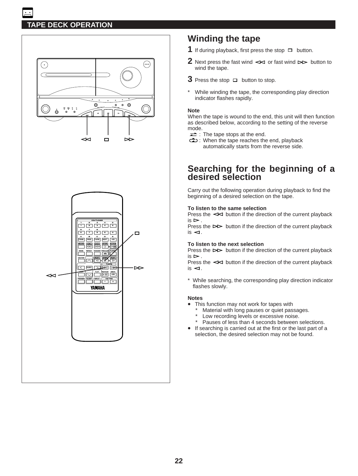

# **Winding the tape**

- **1** If during playback, first press the stop  $\Box$  button.
- **2** Next press the fast wind  $\leq$  or fast wind  $\geq$  button to wind the tape.
- **3** Press the stop  $\Box$  button to stop.
- While winding the tape, the corresponding play direction indicator flashes rapidly.

### **Note**

When the tape is wound to the end, this unit will then function as described below, according to the setting of the reverse mode.

- $\Rightarrow$ : The tape stops at the end.
- : When the tape reaches the end, playback automatically starts from the reverse side.

# **Searching for the beginning of a desired selection**

Carry out the following operation during playback to find the beginning of a desired selection on the tape.

### **To listen to the same selection**

Press the  $\leq$  button if the direction of the current playback  $is \triangleright$ .

Press the  $\triangleright$  button if the direction of the current playback  $is < 1$ .

### **To listen to the next selection**

Press the  $\triangleright$  button if the direction of the current playback  $is \triangleright$ .

Press the  $\leq$  button if the direction of the current playback  $is < 1$ .

\* While searching, the corresponding play direction indicator flashes slowly.

### **Notes**

- This function may not work for tapes with
	- Material with long pauses or quiet passages.
	- \* Low recording levels or excessive noise.
	- \* Pauses of less than 4 seconds between selections.
- If searching is carried out at the first or the last part of a selection, the desired selection may not be found.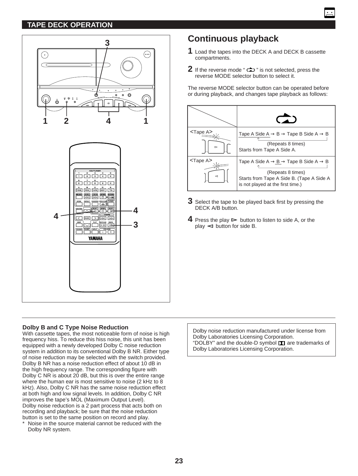# **TAPE DECK OPERATION**



# **Continuous playback**

- **1** Load the tapes into the DECK A and DECK B cassette compartments.
- **2** If the reverse mode "  $\Rightarrow$  " is not selected, press the reverse MODE selector button to select it.

The reverse MODE selector button can be operated before or during playback, and changes tape playback as follows:



- **3** Select the tape to be played back first by pressing the DECK A/B button.
- **4** Press the play  $\triangleright$  button to listen to side A, or the  $play \leq button$  for side B.

# **Dolby B and C Type Noise Reduction**

With cassette tapes, the most noticeable form of noise is high frequency hiss. To reduce this hiss noise, this unit has been equipped with a newly developed Dolby C noise reduction system in addition to its conventional Dolby B NR. Either type of noise reduction may be selected with the switch provided. Dolby B NR has a noise reduction effect of about 10 dB in the high frequency range. The corresponding figure with Dolby C NR is about 20 dB, but this is over the entire range where the human ear is most sensitive to noise (2 kHz to 8 kHz). Also, Dolby C NR has the same noise reduction effect at both high and low signal levels. In addition, Dolby C NR improves the tape's MOL (Maximum Output Level). Dolby noise reduction is a 2 part process that acts both on recording and playback; be sure that the noise reduction button is set to the same position on record and play.

\* Noise in the source material cannot be reduced with the Dolby NR system.

Dolby noise reduction manufactured under license from Dolby Laboratories Licensing Corporation. "DOLBY" and the double-D symbol  $\square$  are trademarks of Dolby Laboratories Licensing Corporation.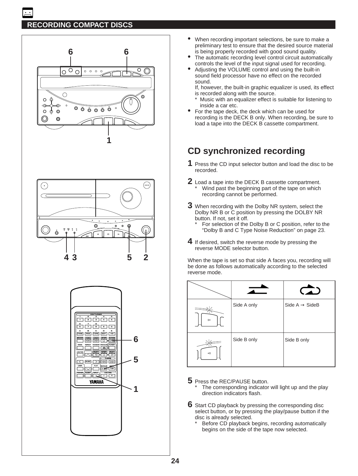





- When recording important selections, be sure to make a preliminary test to ensure that the desired source material is being properly recorded with good sound quality.
- The automatic recording level control circuit automatically controls the level of the input signal used for recording.
- Adjusting the VOLUME control and using the built-in sound field processor have no effect on the recorded sound.

If, however, the built-in graphic equalizer is used, its effect is recorded along with the source.

- \* Music with an equalizer effect is suitable for listening to inside a car etc.
- For the tape deck, the deck which can be used for recording is the DECK B only. When recording, be sure to load a tape into the DECK B cassette compartment.

# **CD synchronized recording**

- **1** Press the CD input selector button and load the disc to be recorded.
- **2** Load a tape into the DECK B cassette compartment. Wind past the beginning part of the tape on which recording cannot be performed.
- **3** When recording with the Dolby NR system, select the Dolby NR B or C position by pressing the DOLBY NR button. If not, set it off.
	- For selection of the Dolby B or C position, refer to the "Dolby B and C Type Noise Reduction" on page 23.
- **4** If desired, switch the reverse mode by pressing the reverse MODE selector button.

When the tape is set so that side A faces you, recording will be done as follows automatically according to the selected reverse mode.

| ⊳                        | Side A only | Side $A \rightarrow$ SideB |
|--------------------------|-------------|----------------------------|
| $\overline{\phantom{0}}$ | Side B only | Side B only                |

- **5** Press the REC/PAUSE button.
	- The corresponding indicator will light up and the play direction indicators flash.
- **6** Start CD playback by pressing the corresponding disc select button, or by pressing the play/pause button if the disc is already selected.
	- Before CD playback begins, recording automatically begins on the side of the tape now selected.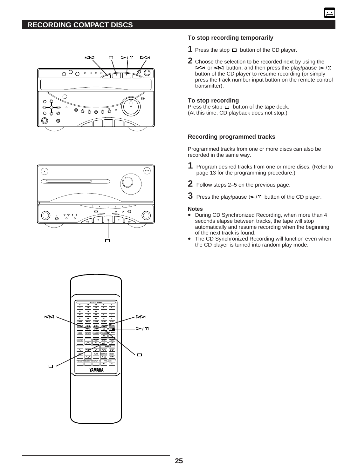





# **To stop recording temporarily**

- **1** Press the stop  $\Box$  button of the CD player.
- **2** Choose the selection to be recorded next by using the  $\triangleright$  or  $\le$  button, and then press the play/pause  $\triangleright$ / $\mathfrak{m}$ button of the CD player to resume recording (or simply press the track number input button on the remote control transmitter).

### **To stop recording**

Press the stop  $\Box$  button of the tape deck. (At this time, CD playback does not stop.)

### **Recording programmed tracks**

Programmed tracks from one or more discs can also be recorded in the same way.

- **1** Program desired tracks from one or more discs. (Refer to page 13 for the programming procedure.)
- **2** Follow steps 2–5 on the previous page.
- **3** Press the play/pause  $\triangleright$  / $\mathfrak{m}$  button of the CD player.

#### **Notes**

- During CD Synchronized Recording, when more than 4 seconds elapse between tracks, the tape will stop automatically and resume recording when the beginning of the next track is found.
- The CD Synchronized Recording will function even when the CD player is turned into random play mode.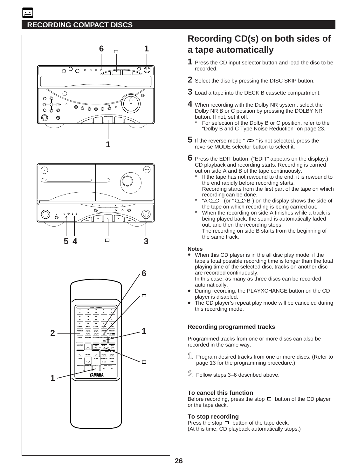





# **Recording CD(s) on both sides of a tape automatically**

- **1** Press the CD input selector button and load the disc to be recorded.
- **2** Select the disc by pressing the DISC SKIP button.
- **3** Load a tape into the DECK B cassette compartment.
- **4** When recording with the Dolby NR system, select the Dolby NR B or C position by pressing the DOLBY NR button. If not, set it off.
	- For selection of the Dolby B or C position, refer to the "Dolby B and C Type Noise Reduction" on page 23.
- **5** If the reverse mode "  $\Rightarrow$  " is not selected, press the reverse MODE selector button to select it.
- **6** Press the EDIT button. ("EDIT" appears on the display.) CD playback and recording starts. Recording is carried out on side A and B of the tape continuously.
	- If the tape has not rewound to the end, it is rewound to the end rapidly before recording starts. Recording starts from the first part of the tape on which recording can be done.
	- " $A \bigcirc \bigcirc$ " (or " $\bigcirc \bigcirc$  B") on the display shows the side of the tape on which recording is being carried out.
	- When the recording on side A finishes while a track is being played back, the sound is automatically faded out, and then the recording stops. The recording on side B starts from the beginning of the same track.

### **Notes**

• When this CD player is in the all disc play mode, if the tape's total possible recording time is longer than the total playing time of the selected disc, tracks on another disc are recorded continuously. In this case, as many as three discs can be recorded

automatically.

- During recording, the PLAYXCHANGE button on the CD player is disabled.
- The CD player's repeat play mode will be canceled during this recording mode.

### **Recording programmed tracks**

Programmed tracks from one or more discs can also be recorded in the same way.

- **1** Program desired tracks from one or more discs. (Refer to page 13 for the programming procedure.)
- **2** Follow steps 3–6 described above.

### **To cancel this function**

Before recording, press the stop  $\Box$  button of the CD player or the tape deck.

### **To stop recording**

Press the stop  $\Box$  button of the tape deck. (At this time, CD playback automatically stops.)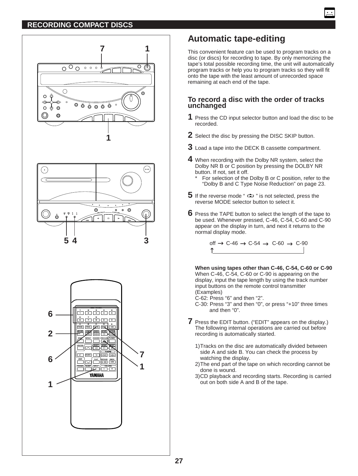



# **Automatic tape-editing**

This convenient feature can be used to program tracks on a disc (or discs) for recording to tape. By only memorizing the tape's total possible recording time, the unit will automatically program tracks or help you to program tracks so they will fit onto the tape with the least amount of unrecorded space remaining at each end of the tape.

## **To record a disc with the order of tracks unchanged**

- **1** Press the CD input selector button and load the disc to be recorded.
- **2** Select the disc by pressing the DISC SKIP button.
- **3** Load a tape into the DECK B cassette compartment.
- **4** When recording with the Dolby NR system, select the Dolby NR B or C position by pressing the DOLBY NR button. If not, set it off.
	- For selection of the Dolby B or C position, refer to the "Dolby B and C Type Noise Reduction" on page 23.
- **5** If the reverse mode "  $\Rightarrow$  " is not selected, press the reverse MODE selector button to select it.
- **6** Press the TAPE button to select the length of the tape to be used. Whenever pressed, C-46, C-54, C-60 and C-90 appear on the display in turn, and next it returns to the normal display mode.

off  $\rightarrow$  C-46  $\rightarrow$  C-54  $\rightarrow$  C-60  $\rightarrow$  C-90 ↑

**When using tapes other than C-46, C-54, C-60 or C-90** When C-46, C-54, C-60 or C-90 is appearing on the display, input the tape length by using the track number input buttons on the remote control transmitter (Examples)

C-62: Press "6" and then "2".

C-30: Press "3" and then "0", or press "+10" three times and then "0".

- **7** Press the EDIT button. ("EDIT" appears on the display.) The following internal operations are carried out before recording is automatically started.
	- 1)Tracks on the disc are automatically divided between side A and side B. You can check the process by watching the display.
	- 2)The end part of the tape on which recording cannot be done is wound.
	- 3)CD playback and recording starts. Recording is carried out on both side A and B of the tape.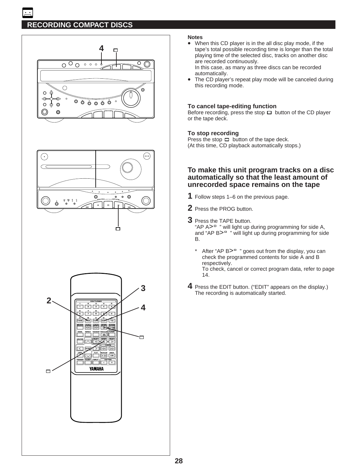





#### **Notes**

• When this CD player is in the all disc play mode, if the tape's total possible recording time is longer than the total playing time of the selected disc, tracks on another disc are recorded continuously.

In this case, as many as three discs can be recorded automatically.

The CD player's repeat play mode will be canceled during this recording mode.

#### **To cancel tape-editing function**

Before recording, press the stop  $\Box$  button of the CD player or the tape deck.

#### **To stop recording**

Press the stop  $\Box$  button of the tape deck. (At this time, CD playback automatically stops.)

### **To make this unit program tracks on a disc automatically so that the least amount of unrecorded space remains on the tape**

- **1** Follow steps 1–6 on the previous page.
- **2** Press the PROG button.
- **3** Press the TAPE button. " $AP A >$ " will light up during programming for side A, and " $AP$  B $>$ <sup> $\degree$ </sup> " will light up during programming for side B.
	- After "AP  $B>$ <sup> $\degree$ </sup> " goes out from the display, you can check the programmed contents for side A and B respectively.

To check, cancel or correct program data, refer to page 14.

**4** Press the EDIT button. ("EDIT" appears on the display.) The recording is automatically started.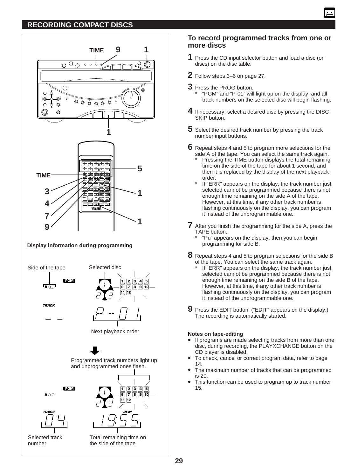

**To record programmed tracks from one or more discs**

- **1** Press the CD input selector button and load a disc (or discs) on the disc table.
- **2** Follow steps 3–6 on page 27.
- **3** Press the PROG button. \* "PGM" and "P-01" will light up on the display, and all track numbers on the selected disc will begin flashing.
- **4** If necessary, select a desired disc by pressing the DISC SKIP button.
- **5** Select the desired track number by pressing the track number input buttons.
- **6** Repeat steps 4 and 5 to program more selections for the side A of the tape. You can select the same track again.
	- Pressing the TIME button displays the total remaining time on the side of the tape for about 1 second, and then it is replaced by the display of the next playback order.
	- If "ERR" appears on the display, the track number just selected cannot be programmed because there is not enough time remaining on the side A of the tape. However, at this time, if any other track number is flashing continuously on the display, you can program it instead of the unprogrammable one.
- **7** After you finish the programming for the side A, press the TAPE button.
	- \* "Pu" appears on the display, then you can begin programming for side B.
- **8** Repeat steps 4 and 5 to program selections for the side B of the tape. You can select the same track again.
	- If "ERR" appears on the display, the track number just selected cannot be programmed because there is not enough time remaining on the side B of the tape. However, at this time, if any other track number is flashing continuously on the display, you can program it instead of the unprogrammable one.
- **9** Press the EDIT button. ("EDIT" appears on the display.) The recording is automatically started.

### **Notes on tape-editing**

- If programs are made selecting tracks from more than one disc, during recording, the PLAYXCHANGE button on the CD player is disabled.
- To check, cancel or correct program data, refer to page 14.
- The maximum number of tracks that can be programmed is 20.
- This function can be used to program up to track number 15.

**A**

**PGM**



Selected track number

Total remaining time on the side of the tape **T REM**

**1 6**

**11 12**

**2 3 4 5 7 8 9**

**10**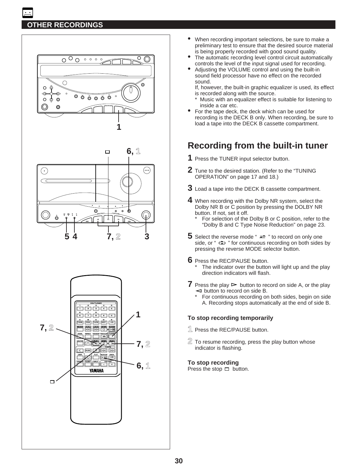# **OTHER RECORDINGS**







- When recording important selections, be sure to make a preliminary test to ensure that the desired source material is being properly recorded with good sound quality.
- The automatic recording level control circuit automatically controls the level of the input signal used for recording.
- Adjusting the VOLUME control and using the built-in sound field processor have no effect on the recorded sound.

If, however, the built-in graphic equalizer is used, its effect is recorded along with the source.

- \* Music with an equalizer effect is suitable for listening to inside a car etc.
- For the tape deck, the deck which can be used for recording is the DECK B only. When recording, be sure to load a tape into the DECK B cassette compartment.

# **Recording from the built-in tuner**

- **1** Press the TUNER input selector button.
- **2** Tune to the desired station. (Refer to the "TUNING OPERATION" on page 17 and 18.)
- **3** Load a tape into the DECK B cassette compartment.
- **4** When recording with the Dolby NR system, select the Dolby NR B or C position by pressing the DOLBY NR button. If not, set it off.
	- For selection of the Dolby B or C position, refer to the "Dolby B and C Type Noise Reduction" on page 23.
- **5** Select the reverse mode " $\rightleftharpoons$  " to record on only one side, or "  $\Rightarrow$  " for continuous recording on both sides by pressing the reverse MODE selector button.
- **6** Press the REC/PAUSE button.
	- The indicator over the button will light up and the play direction indicators will flash.
- **7** Press the play  $\triangleright$  button to record on side A, or the play  $\triangleleft$  button to record on side B.
	- For continuous recording on both sides, begin on side A. Recording stops automatically at the end of side B.

### **To stop recording temporarily**

- **1** Press the REC/PAUSE button.
- **2** To resume recording, press the play button whose indicator is flashing.

### **To stop recording**

Press the stop  $\Box$  button.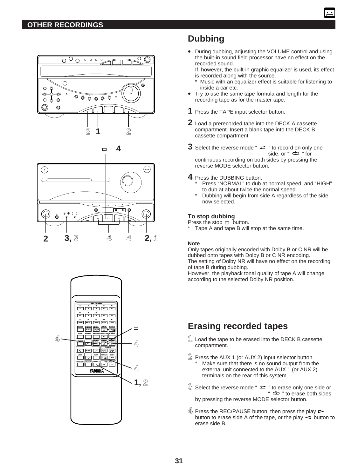# **OTHER RECORDINGS**



**3, 3 4 2 4**



# **Dubbing**

• During dubbing, adjusting the VOLUME control and using the built-in sound field processor have no effect on the recorded sound.

If, however, the built-in graphic equalizer is used, its effect is recorded along with the source.

- Music with an equalizer effect is suitable for listening to inside a car etc.
- Try to use the same tape formula and length for the recording tape as for the master tape.
- **1** Press the TAPE input selector button.
- **2** Load a prerecorded tape into the DECK A cassette compartment. Insert a blank tape into the DECK B cassette compartment.
- **3** Select the reverse mode " $\rightleftharpoons$  " to record on only one side, or " $\Rightarrow$  " for continuous recording on both sides by pressing the reverse MODE selector button.
- **4** Press the DUBBING button.
	- Press "NORMAL" to dub at normal speed, and "HIGH" to dub at about twice the normal speed.
	- Dubbing will begin from side A regardless of the side now selected.

### **To stop dubbing**

Press the stop  $\Box$  button.

Tape A and tape B will stop at the same time.

### **Note**

**2, 1**

Only tapes originally encoded with Dolby B or C NR will be dubbed onto tapes with Dolby B or C NR encoding. The setting of Dolby NR will have no effect on the recording of tape B during dubbing.

However, the playback tonal quality of tape A will change according to the selected Dolby NR position.

# **Erasing recorded tapes**

- **1** Load the tape to be erased into the DECK B cassette compartment.
- **2** Press the AUX 1 (or AUX 2) input selector button. Make sure that there is no sound output from the external unit connected to the AUX 1 (or AUX 2) terminals on the rear of this system.
- $\widehat{\mathbb{S}}$  Select the reverse mode "  $\rightleftarrows$  " to erase only one side or \*  $\Rightarrow$  " to erase both sides by pressing the reverse MODE selector button.
- $4\frac{1}{2}$  Press the REC/PAUSE button, then press the play  $\triangleright$ button to erase side A of the tape, or the play  $\leq$  button to erase side B.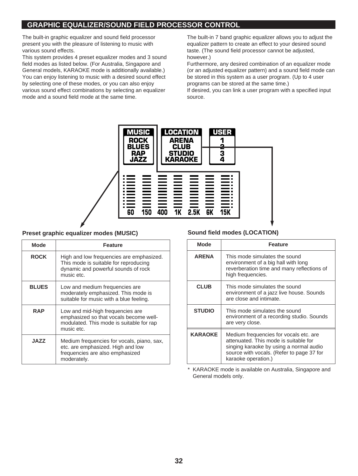The built-in graphic equalizer and sound field processor present you with the pleasure of listening to music with various sound effects.

This system provides 4 preset equalizer modes and 3 sound field modes as listed below. (For Australia, Singapore and General models, KARAOKE mode is additionally available.) You can enjoy listening to music with a desired sound effect by selecting one of these modes, or you can also enjoy various sound effect combinations by selecting an equalizer mode and a sound field mode at the same time.

The built-in 7 band graphic equalizer allows you to adjust the equalizer pattern to create an effect to your desired sound taste. (The sound field processor cannot be adjusted, however.)

Furthermore, any desired combination of an equalizer mode (or an adjusted equalizer pattern) and a sound field mode can be stored in this system as a user program. (Up to 4 user programs can be stored at the same time.)

If desired, you can link a user program with a specified input source.



### **Preset graphic equalizer modes (MUSIC)**

| <b>Mode</b>  | <b>Feature</b>                                                                                                                         |  |
|--------------|----------------------------------------------------------------------------------------------------------------------------------------|--|
| <b>ROCK</b>  | High and low frequencies are emphasized.<br>This mode is suitable for reproducing<br>dynamic and powerful sounds of rock<br>music etc. |  |
| <b>BLUES</b> | Low and medium frequencies are<br>moderately emphasized. This mode is<br>suitable for music with a blue feeling.                       |  |
| <b>RAP</b>   | Low and mid-high frequencies are<br>emphasized so that vocals become well-<br>modulated. This mode is suitable for rap<br>music etc.   |  |
| <b>JAZZ</b>  | Medium frequencies for vocals, piano, sax,<br>etc. are emphasized. High and low<br>frequencies are also emphasized<br>moderately.      |  |

### **Sound field modes (LOCATION)**

| <b>Mode</b>    | <b>Feature</b>                                                                                                                                                                                 |  |
|----------------|------------------------------------------------------------------------------------------------------------------------------------------------------------------------------------------------|--|
| <b>ARENA</b>   | This mode simulates the sound<br>environment of a big hall with long<br>reverberation time and many reflections of<br>high frequencies.                                                        |  |
| <b>CLUB</b>    | This mode simulates the sound<br>environment of a jazz live house. Sounds<br>are close and intimate.                                                                                           |  |
| <b>STUDIO</b>  | This mode simulates the sound<br>environment of a recording studio. Sounds<br>are very close.                                                                                                  |  |
| <b>KARAOKE</b> | Medium frequencies for vocals etc. are<br>attenuated. This mode is suitable for<br>singing karaoke by using a normal audio<br>source with vocals. (Refer to page 37 for<br>karaoke operation.) |  |

\* KARAOKE mode is available on Australia, Singapore and General models only.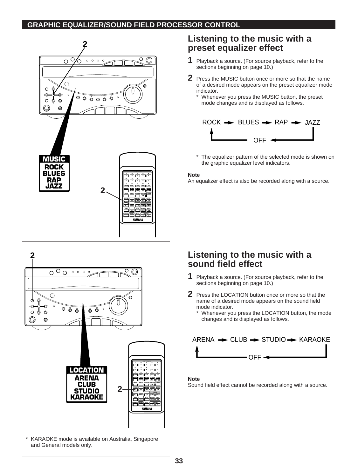



# **Listening to the music with a preset equalizer effect**

- **1** Playback a source. (For source playback, refer to the sections beginning on page 10.)
- **2** Press the MUSIC button once or more so that the name of a desired mode appears on the preset equalizer mode indicator.
	- \* Whenever you press the MUSIC button, the preset mode changes and is displayed as follows.



\* The equalizer pattern of the selected mode is shown on the graphic equalizer level indicators.

#### **Note**

An equalizer effect is also be recorded along with a source.

# **Listening to the music with a sound field effect**

- **1** Playback a source. (For source playback, refer to the sections beginning on page 10.)
- **2** Press the LOCATION button once or more so that the name of a desired mode appears on the sound field mode indicator.
	- Whenever you press the LOCATION button, the mode changes and is displayed as follows.



### **Note**

Sound field effect cannot be recorded along with a source.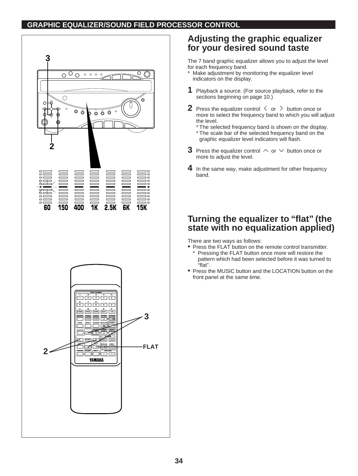



# **Adjusting the graphic equalizer for your desired sound taste**

The 7 band graphic equalizer allows you to adjust the level for each frequency band.

- Make adjustment by monitoring the equalizer level indicators on the display.
- **1** Playback a source. (For source playback, refer to the sections beginning on page 10.)
- **2** Press the equalizer control  $\langle$  or  $\rangle$  button once or more to select the frequency band to which you will adjust the level.
	- \* The selected frequency band is shown on the display.
	- \* The scale bar of the selected frequency band on the graphic equalizer level indicators will flash.
- **3** Press the equalizer control  $\land$  or  $\lor$  button once or more to adjust the level.
- **4** In the same way, make adjustment for other frequency band.

# **Turning the equalizer to "flat" (the state with no equalization applied)**

There are two ways as follows:

- Press the FLAT button on the remote control transmitter. Pressing the FLAT button once more will restore the pattern which had been selected before it was turned to "flat".
- Press the MUSIC button and the LOCATION button on the front panel at the same time.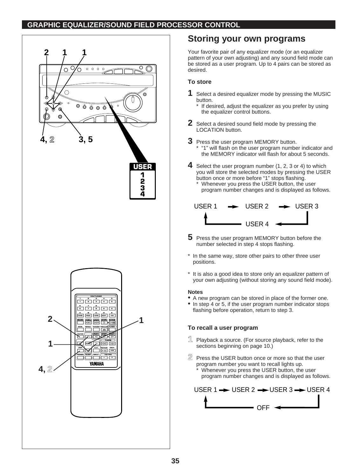

# **Storing your own programs**

Your favorite pair of any equalizer mode (or an equalizer pattern of your own adjusting) and any sound field mode can be stored as a user program. Up to 4 pairs can be stored as desired.

# **To store**

- **1** Select a desired equalizer mode by pressing the MUSIC button.
	- \* If desired, adjust the equalizer as you prefer by using the equalizer control buttons.
- **2** Select a desired sound field mode by pressing the LOCATION button.
- **3** Press the user program MEMORY button. \* "1" will flash on the user program number indicator and the MEMORY indicator will flash for about 5 seconds.
- **4** Select the user program number (1, 2, 3 or 4) to which you will store the selected modes by pressing the USER button once or more before "1" stops flashing. Whenever you press the USER button, the user program number changes and is displayed as follows.



- **5** Press the user program MEMORY button before the number selected in step 4 stops flashing.
- In the same way, store other pairs to other three user positions.
- \* It is also a good idea to store only an equalizer pattern of your own adjusting (without storing any sound field mode).

### **Notes**

- A new program can be stored in place of the former one.<br>• In step 4 or 5, if the user program number indicator stops
- In step 4 or 5, if the user program number indicator stops flashing before operation, return to step 3.

# **To recall a user program**

- **1** Playback a source. (For source playback, refer to the sections beginning on page 10.)
- **2** Press the USER button once or more so that the user program number you want to recall lights up.
	- Whenever you press the USER button, the user program number changes and is displayed as follows.

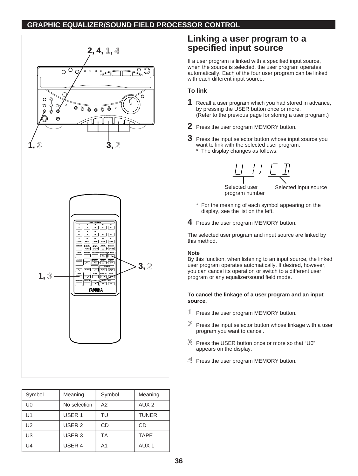

| Symbol         | Meaning           | Symbol | Meaning          |
|----------------|-------------------|--------|------------------|
| U0             | No selection      | A2     | AUX <sub>2</sub> |
| U1             | USER <sub>1</sub> | TU     | <b>TUNER</b>     |
| U <sub>2</sub> | USER <sub>2</sub> | CD     | CD               |
| U3             | USER <sub>3</sub> | ТA     | <b>TAPE</b>      |
| U4             | USER 4            | A1     | AUX <sub>1</sub> |

# **Linking a user program to a specified input source**

If a user program is linked with a specified input source, when the source is selected, the user program operates automatically. Each of the four user program can be linked with each different input source.

## **To link**

- **1** Recall a user program which you had stored in advance, by pressing the USER button once or more. (Refer to the previous page for storing a user program.)
- **2** Press the user program MEMORY button.
- **3** Press the input selector button whose input source you want to link with the selected user program. \* The display changes as follows:



Selected user program number Selected input source

- For the meaning of each symbol appearing on the display, see the list on the left.
- **4** Press the user program MEMORY button.

The selected user program and input source are linked by this method.

### **Note**

By this function, when listening to an input source, the linked user program operates automatically. If desired, however, you can cancel its operation or switch to a different user program or any equalizer/sound field mode.

### **To cancel the linkage of a user program and an input source.**

- **1** Press the user program MEMORY button.
- **2** Press the input selector button whose linkage with a user program you want to cancel.
- **3** Press the USER button once or more so that "U0" appears on the display.
- <sup>4</sup> Press the user program MEMORY button.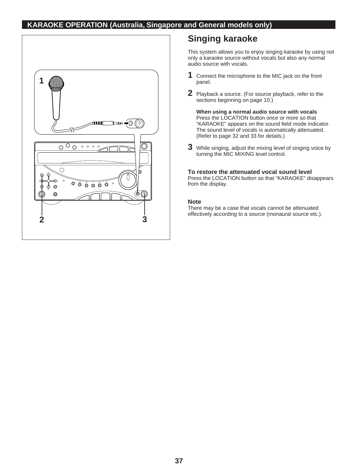# **KARAOKE OPERATION (Australia, Singapore and General models only)**



# **Singing karaoke**

This system allows you to enjoy singing karaoke by using not only a karaoke source without vocals but also any normal audio source with vocals.

- **1** Connect the microphone to the MIC jack on the front panel.
- **2** Playback a source. (For source playback, refer to the sections beginning on page 10.)

**When using a normal audio source with vocals** Press the LOCATION button once or more so that "KARAOKE" appears on the sound field mode indicator. The sound level of vocals is automatically attenuated. (Refer to page 32 and 33 for details.)

**3** While singing, adjust the mixing level of singing voice by turning the MIC MIXING level control.

### **To restore the attenuated vocal sound level**

Press the LOCATION button so that "KARAOKE" disappears from the display.

### **Note**

There may be a case that vocals cannot be attenuated effectively according to a source (monaural source etc.).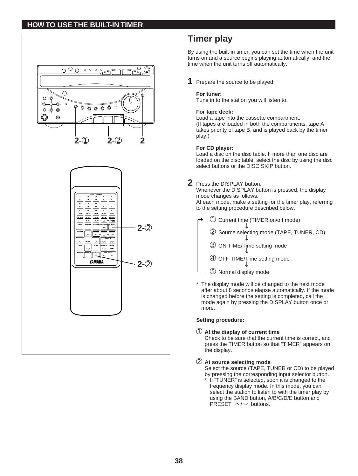

# **Timer play**

By using the built-in timer, you can set the time when the unit turns on and a source begins playing automatically, and the time when the unit turns off automatically.

**1** Prepare the source to be played.

### **For tuner:**

Tune in to the station you will listen to.

#### **For tape deck:**

Load a tape into the cassette compartment. (If tapes are loaded in both the compartments, tape A takes priority of tape B, and is played back by the timer play.)

#### **For CD player:**

Load a disc on the disc table. If more than one disc are loaded on the disc table, select the disc by using the disc select buttons or the DISC SKIP button.

# **2** Press the DISPLAY button.

Whenever the DISPLAY button is pressed, the display mode changes as follows. At each mode, make a setting for the timer play, referring to the setting procedure described below.

- ➀ Current time (TIMER on/off mode) →
	- ➁ Source selecting mode (TAPE, TUNER, CD)
	- →→→➂ ON TIME/Time setting mode J.
	- ➃ OFF TIME/Time setting mode →
	- ➄ Normal display mode
- \* The display mode will be changed to the next mode after about 8 seconds elapse automatically. If the mode is changed before the setting is completed, call the mode again by pressing the DISPLAY button once or more.

#### **Setting procedure:**

➀ **At the display of current time**

Check to be sure that the current time is correct, and press the TIMER button so that "TIMER" appears on the display.

#### ➁ **At source selecting mode**

Select the source (TAPE, TUNER or CD) to be played by pressing the corresponding input selector button.

If "TUNER" is selected, soon it is changed to the frequency display mode. In this mode, you can select the station to listen to with the timer play by using the BAND button, A/B/C/D/E button and PRESET  $\land$  / $\lor$  buttons.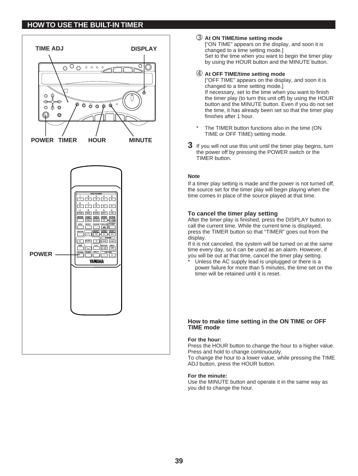

#### ➂ **At ON TIME/time setting mode**

["ON TIME" appears on the display, and soon it is changed to a time setting mode.] Set to the time when you want to begin the timer play by using the HOUR button and the MINUTE button.

#### ➃ **At OFF TIME/time setting mode**

["OFF TIME" appears on the display, and soon it is changed to a time setting mode.] If necessary, set to the time when you want to finish the timer play (to turn this unit off) by using the HOUR button and the MINUTE button. Even if you do not set the time, it has already been set so that the timer play finishes after 1 hour.

- The TIMER button functions also in the time (ON TIME or OFF TIME) setting mode.
- **3** If you will not use this unit until the timer play begins, turn the power off by pressing the POWER switch or the TIMER button.

#### **Note**

If a timer play setting is made and the power is not turned off, the source set for the timer play will begin playing when the time comes in place of the source played at that time.

#### **To cancel the timer play setting**

After the timer play is finished, press the DISPLAY button to call the current time. While the current time is displayed, press the TIMER button so that "TIMER" goes out from the display.

If it is not canceled, the system will be turned on at the same time every day, so it can be used as an alarm. However, if you will be out at that time, cancel the timer play setting.

Unless the AC supply lead is unplugged or there is a power failure for more than 5 minutes, the time set on the timer will be retained until it is reset.

#### **How to make time setting in the ON TIME or OFF TIME mode**

#### **For the hour:**

Press the HOUR button to change the hour to a higher value. Press and hold to change continuously.

To change the hour to a lower value, while pressing the TIME ADJ button, press the HOUR button.

#### **For the minute:**

Use the MINUTE button and operate it in the same way as you did to change the hour.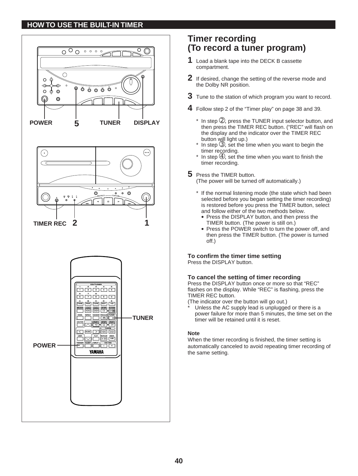

# **Timer recording (To record a tuner program)**

- **1** Load a blank tape into the DECK B cassette compartment.
- **2** If desired, change the setting of the reverse mode and the Dolby NR position.
- **3** Tune to the station of which program you want to record.
- **4** Follow step 2 of the "Timer play" on page 38 and 39.
	- $*$  In step  $\mathcal{D}$ , press the TUNER input selector button, and then press the TIMER REC button. ("REC" will flash on the display and the indicator over the TIMER REC button will light up.)
	- $*$  In step  $\circled{3}$ , set the time when you want to begin the timer recording.
	- $*$  In step  $\circledA$ , set the time when you want to finish the timer recording.
- **5** Press the TIMER button.

(The power will be turned off automatically.)

- \* If the normal listening mode (the state which had been selected before you began setting the timer recording) is restored before you press the TIMER button, select and follow either of the two methods below.
	- Press the DISPLAY button, and then press the TIMER button. (The power is still on.)
	- Press the POWER switch to turn the power off, and then press the TIMER button. (The power is turned off.)

**To confirm the timer time setting** Press the DISPLAY button.

### **To cancel the setting of timer recording**

Press the DISPLAY button once or more so that "REC" flashes on the display. While "REC" is flashing, press the TIMER REC button.

(The indicator over the button will go out.)

Unless the AC supply lead is unplugged or there is a power failure for more than 5 minutes, the time set on the timer will be retained until it is reset.

### **Note**

When the timer recording is finished, the timer setting is automatically canceled to avoid repeating timer recording of the same setting.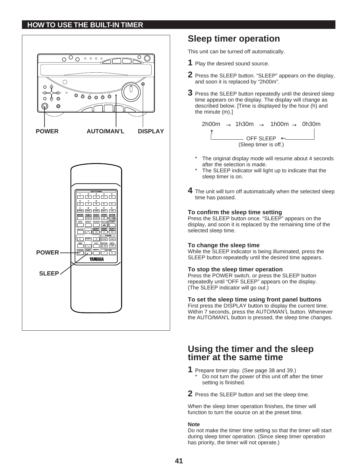

# **Sleep timer operation**

This unit can be turned off automatically.

- **1** Play the desired sound source.
- **2** Press the SLEEP button. "SLEEP" appears on the display, and soon it is replaced by "2h00m".
- **3** Press the SLEEP button repeatedly until the desired sleep time appears on the display. The display will change as described below. [Time is displayed by the hour (h) and the minute (m).]

```
OFF SLEEP \leftarrow(Sleep timer is off.)
2h00m \rightarrow 1h30m \rightarrow 1h00m \rightarrow 0h30m
   ↑
```
- The original display mode will resume about 4 seconds after the selection is made.
- The SLEEP indicator will light up to indicate that the sleep timer is on.
- **4** The unit will turn off automatically when the selected sleep time has passed.

#### **To confirm the sleep time setting**

Press the SLEEP button once. "SLEEP" appears on the display, and soon it is replaced by the remaining time of the selected sleep time.

### **To change the sleep time**

While the SLEEP indicator is being illuminated, press the SLEEP button repeatedly until the desired time appears.

#### **To stop the sleep timer operation**

Press the POWER switch, or press the SLEEP button repeatedly until "OFF SLEEP" appears on the display. (The SLEEP indicator will go out.)

#### **To set the sleep time using front panel buttons**

First press the DISPLAY button to display the current time. Within 7 seconds, press the AUTO/MAN'L button. Whenever the AUTO/MAN'L button is pressed, the sleep time changes.

# **Using the timer and the sleep timer at the same time**

- **1** Prepare timer play. (See page 38 and 39.) Do not turn the power of this unit off after the timer setting is finished.
- **2** Press the SLEEP button and set the sleep time.

When the sleep timer operation finishes, the timer will function to turn the source on at the preset time.

#### **Note**

Do not make the timer time setting so that the timer will start during sleep timer operation. (Since sleep timer operation has priority, the timer will not operate.)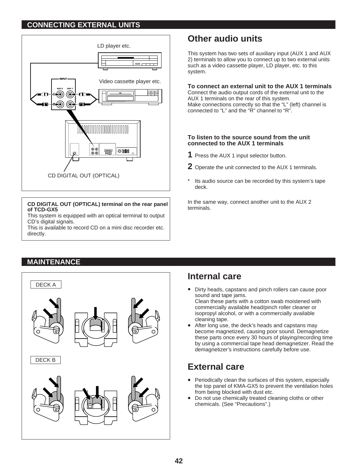# **CONNECTING EXTERNAL UNITS**



### **CD DIGITAL OUT (OPTICAL) terminal on the rear panel of TCD-GX5**

This system is equipped with an optical terminal to output CD's digital signals.

This is available to record CD on a mini disc recorder etc. directly.

# **Other audio units**

This system has two sets of auxiliary input (AUX 1 and AUX 2) terminals to allow you to connect up to two external units such as a video cassette player, LD player, etc. to this system.

# **To connect an external unit to the AUX 1 terminals**

Connect the audio output cords of the external unit to the AUX 1 terminals on the rear of this system. Make connections correctly so that the "L" (left) channel is connected to "L" and the "R" channel to "R".

### **To listen to the source sound from the unit connected to the AUX 1 terminals**

- **1** Press the AUX 1 input selector button.
- **2** Operate the unit connected to the AUX 1 terminals.
- Its audio source can be recorded by this system's tape deck.

In the same way, connect another unit to the AUX 2 terminals.

# **MAINTENANCE**



# **Internal care**

- Dirty heads, capstans and pinch rollers can cause poor sound and tape jams. Clean these parts with a cotton swab moistened with commercially available head/pinch roller cleaner or isopropyl alcohol, or with a commercially available
- cleaning tape. After long use, the deck's heads and capstans may become magnetized, causing poor sound. Demagnetize these parts once every 30 hours of playing/recording time by using a commercial tape head demagnetizer. Read the demagnetizer's instructions carefully before use.

# **External care**

- Periodically clean the surfaces of this system, especially the top panel of KMA-GX5 to prevent the ventilation holes from being blocked with dust etc.
- Do not use chemically treated cleaning cloths or other chemicals. (See "Precautions".)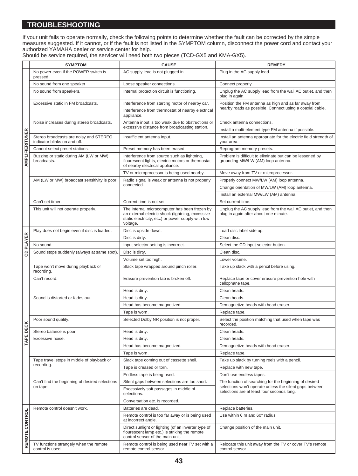# **TROUBLESHOOTING**

If your unit fails to operate normally, check the following points to determine whether the fault can be corrected by the simple measures suggested. If it cannot, or if the fault is not listed in the SYMPTOM column, disconnect the power cord and contact your authorized YAMAHA dealer or service center for help.

| Should be service required, the servicer will need both two pieces (TCD-GX5 and KMA-GX5). |  |
|-------------------------------------------------------------------------------------------|--|

|                 | <b>SYMPTOM</b>                                                         | <b>CAUSE</b>                                                                                                                                                        | <b>REMEDY</b>                                                                                                     |
|-----------------|------------------------------------------------------------------------|---------------------------------------------------------------------------------------------------------------------------------------------------------------------|-------------------------------------------------------------------------------------------------------------------|
|                 | No power even if the POWER switch is<br>pressed.                       | AC supply lead is not plugged in.                                                                                                                                   | Plug in the AC supply lead.                                                                                       |
|                 | No sound from one speaker                                              | Loose speaker connections.                                                                                                                                          | Connect properly.                                                                                                 |
|                 | No sound from speakers.                                                | Internal protection circuit is functioning.                                                                                                                         | Unplug the AC supply lead from the wall AC outlet, and then<br>plug in again.                                     |
|                 | Excessive static in FM broadcasts.                                     | Interference from starting motor of nearby car.                                                                                                                     | Position the FM antenna as high and as far away from                                                              |
|                 |                                                                        | Interference from thermostat of nearby electrical<br>appliance.                                                                                                     | nearby roads as possible. Connect using a coaxial cable.                                                          |
|                 | Noise increases during stereo broadcasts.                              | Antenna input is too weak due to obstructions or                                                                                                                    | Check antenna connections.                                                                                        |
|                 |                                                                        | excessive distance from broadcasting station.                                                                                                                       | Install a multi-element type FM antenna if possible.                                                              |
|                 | Stereo broadcasts are noisy and STEREO<br>indicator blinks on and off. | Insufficient antenna input.                                                                                                                                         | Install an antenna appropriate for the electric field strength of<br>your area.                                   |
|                 | Cannot select preset stations.                                         | Preset memory has been erased.                                                                                                                                      | Reprogram memory presets.                                                                                         |
| AMPLIFIER/TUNER | Buzzing or static during AM (LW or MW)<br>broadcasts.                  | Interference from source such as lightning,<br>flourescent lights, electric motors or thermostat<br>of nearby electrical appliance.                                 | Problem is difficult to eliminate but can be lessened by<br>grounding MW/LW (AM) loop antenna.                    |
|                 |                                                                        | TV or microprocessor is being used nearby.                                                                                                                          | Move away from TV or microprocessor.                                                                              |
|                 | AM (LW or MW) broadcast sensitivity is poor.                           | Radio signal is weak or antenna is not properly                                                                                                                     | Properly connect MW/LW (AM) loop antenna.                                                                         |
|                 |                                                                        | connected.                                                                                                                                                          | Change orientation of MW/LW (AM) loop antenna.                                                                    |
|                 |                                                                        |                                                                                                                                                                     | Install an external MW/LW (AM) antenna.                                                                           |
|                 | Can't set timer.                                                       | Current time is not set.                                                                                                                                            | Set current time.                                                                                                 |
|                 | This unit will not operate properly.                                   | The internal microcomputer has been frozen by<br>an external electric shock (lightning, excessive<br>static electricity, etc.) or power supply with low<br>voltage. | Unplug the AC supply lead from the wall AC outlet, and then<br>plug in again after about one minute.              |
|                 | Play does not begin even if disc is loaded.                            | Disc is upside down.                                                                                                                                                | Load disc label side up.                                                                                          |
| CD PLAYER       |                                                                        | Disc is dirty.                                                                                                                                                      | Clean disc.                                                                                                       |
|                 | No sound.                                                              | Input selector setting is incorrect.                                                                                                                                | Select the CD input selector button.                                                                              |
|                 | Sound stops suddenly (always at same spot).                            | Disc is dirty.                                                                                                                                                      | Clean disc.                                                                                                       |
|                 |                                                                        | Volume set too high.                                                                                                                                                | Lower volume.                                                                                                     |
|                 | Tape won't move during playback or<br>recording.                       | Slack tape wrapped around pinch roller.                                                                                                                             | Take up slack with a pencil before using.                                                                         |
|                 | Can't record.                                                          | Erasure prevention tab is broken off.                                                                                                                               | Replace tape or cover erasure prevention hole with<br>cellophane tape.                                            |
|                 |                                                                        | Head is dirty.                                                                                                                                                      | Clean heads.                                                                                                      |
|                 | Sound is distorted or fades out.                                       | Head is dirty.                                                                                                                                                      | Clean heads.                                                                                                      |
|                 |                                                                        | Head has become magnetized.                                                                                                                                         | Demagnetize heads with head eraser.                                                                               |
|                 |                                                                        | Tape is worn.                                                                                                                                                       | Replace tape.                                                                                                     |
| ECK             | Poor sound quality.                                                    | Selected Dolby NR position is not proper.                                                                                                                           | Select the position matching that used when tape was<br>recorded.                                                 |
|                 | Stereo balance is poor.                                                | Head is dirty.                                                                                                                                                      | Clean heads.                                                                                                      |
| TAPE DI         | Excessive noise.                                                       | Head is dirty.                                                                                                                                                      | Clean heads.                                                                                                      |
|                 |                                                                        | Head has become magnetized.                                                                                                                                         | Demagnetize heads with head eraser.                                                                               |
|                 |                                                                        | Tape is worn.                                                                                                                                                       | Replace tape.                                                                                                     |
|                 | Tape travel stops in middle of playback or<br>recording.               | Slack tape coming out of cassette shell.                                                                                                                            | Take up slack by turning reels with a pencil.                                                                     |
|                 |                                                                        | Tape is creased or torn.                                                                                                                                            | Replace with new tape.                                                                                            |
|                 |                                                                        | Endless tape is being used.                                                                                                                                         | Don't use endless tapes.                                                                                          |
|                 | Can't find the beginning of desired selections<br>on tape.             | Silent gaps between selections are too short.                                                                                                                       | The function of searching for the beginning of desired<br>selections won't operate unless the silent gaps between |
|                 |                                                                        | Excessively soft passages in middle of<br>selections.                                                                                                               | selections are at least four seconds long.                                                                        |
|                 |                                                                        | Conversation etc. is recorded.                                                                                                                                      |                                                                                                                   |
|                 | Remote control doesn't work.                                           | Batteries are dead.                                                                                                                                                 | Replace batteries.                                                                                                |
|                 |                                                                        | Remote control is too far away or is being used<br>at incorrect angle.                                                                                              | Use within 6 m and 60° radius.                                                                                    |
| REMOTE CONTROL  |                                                                        | Direct sunlight or lighting (of an inverter type of<br>flourescent lamp etc.) is striking the remote<br>control sensor of the main unit.                            | Change position of the main unit.                                                                                 |
|                 | TV functions strangely when the remote<br>control is used.             | Remote control is being used near TV set with a<br>remote control sensor.                                                                                           | Relocate this unit away from the TV or cover TV's remote<br>control sensor.                                       |